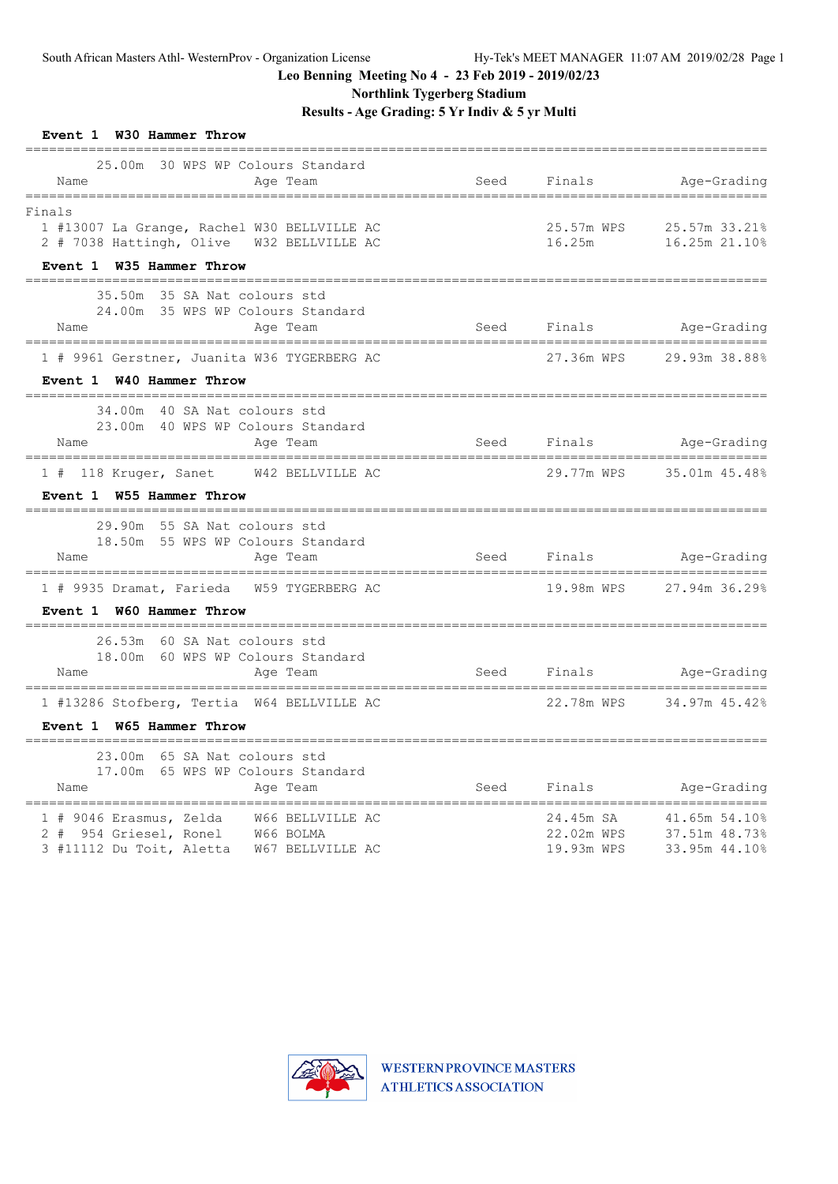**Northlink Tygerberg Stadium**

| Event 1 W30 Hammer Throw                                                                                                  |      |                                          |                                                 |
|---------------------------------------------------------------------------------------------------------------------------|------|------------------------------------------|-------------------------------------------------|
| 25.00m 30 WPS WP Colours Standard<br>Name<br>Age Team                                                                     | Seed | Finals                                   | Age-Grading                                     |
| Finals<br>1 #13007 La Grange, Rachel W30 BELLVILLE AC<br>2 # 7038 Hattingh, Olive  W32 BELLVILLE AC                       |      | 25.57m WPS<br>16.25m                     | 25.57m 33.21%<br>16.25m 21.10%                  |
| Event 1 W35 Hammer Throw                                                                                                  |      |                                          |                                                 |
| 35.50m 35 SA Nat colours std<br>24.00m 35 WPS WP Colours Standard<br>Name<br>Age Team                                     | Seed | Finals                                   | Age-Grading                                     |
| 1 # 9961 Gerstner, Juanita W36 TYGERBERG AC<br>Event 1 W40 Hammer Throw                                                   |      | 27.36m WPS                               | 29.93m 38.88%                                   |
| 34.00m 40 SA Nat colours std<br>23.00m 40 WPS WP Colours Standard<br>Name<br>Age Team                                     |      |                                          | Seed Finals Age-Grading                         |
| 1 # 118 Kruger, Sanet W42 BELLVILLE AC<br>Event 1 W55 Hammer Throw                                                        |      | 29.77m WPS                               | 35.01m 45.48%                                   |
| 29.90m 55 SA Nat colours std<br>18.50m 55 WPS WP Colours Standard<br>Name<br>Age Team                                     | Seed | Finals                                   | Age-Grading                                     |
| 1 # 9935 Dramat, Farieda W59 TYGERBERG AC<br>Event 1 W60 Hammer Throw                                                     |      | 19.98m WPS                               | 27.94m 36.29%                                   |
| 26.53m 60 SA Nat colours std<br>18.00m 60 WPS WP Colours Standard<br>Name<br>Age Team                                     | Seed | ------------------------------<br>Finals | Age-Grading                                     |
| 1 #13286 Stofberg, Tertia W64 BELLVILLE AC<br>Event 1 W65 Hammer Throw                                                    |      | 22.78m WPS                               | 34.97m 45.42%                                   |
| 23.00m 65 SA Nat colours std<br>17.00m 65 WPS WP Colours Standard<br>Name<br>Age Team                                     | Seed | Finals                                   | Age-Grading                                     |
| 1 # 9046 Erasmus, Zelda W66 BELLVILLE AC<br>2 # 954 Griesel, Ronel W66 BOLMA<br>3 #11112 Du Toit, Aletta W67 BELLVILLE AC |      | 24.45m SA<br>22.02m WPS<br>19.93m WPS    | 41.65m 54.10%<br>37.51m 48.73%<br>33.95m 44.10% |

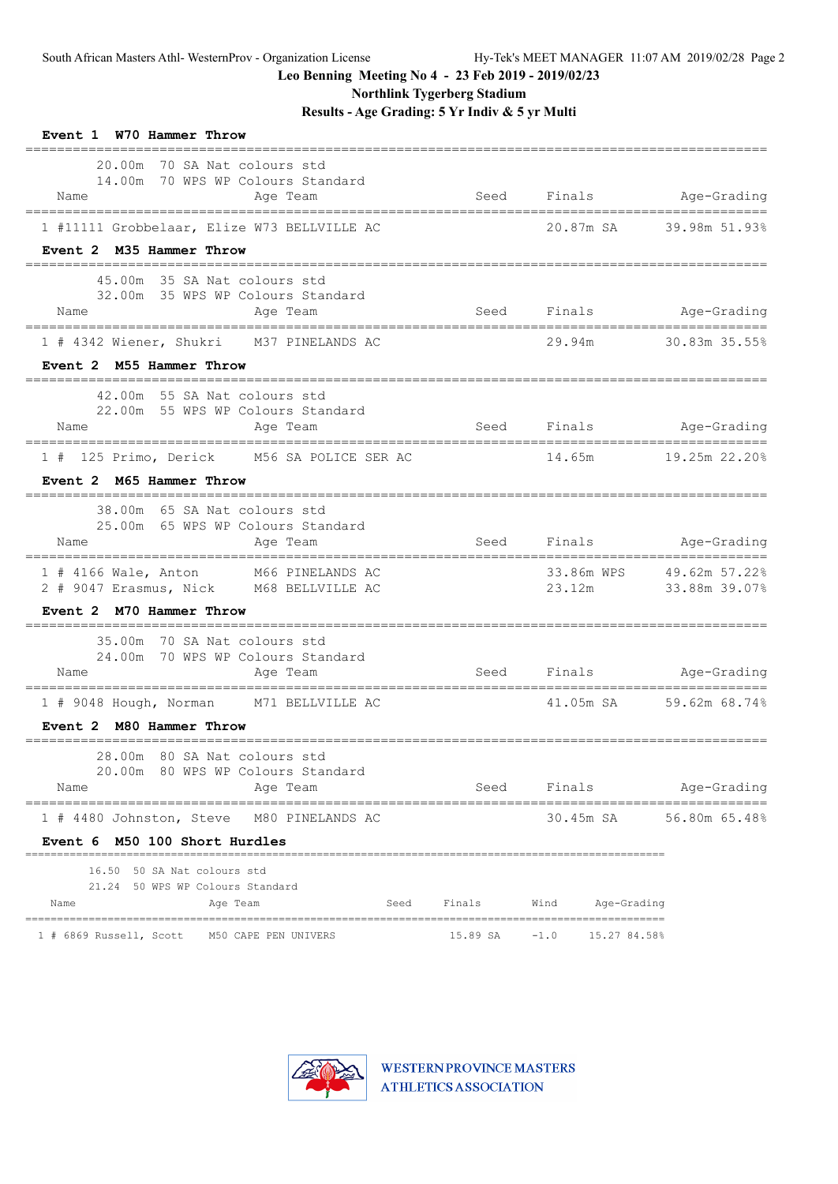**Northlink Tygerberg Stadium**

| Event 1 W70 Hammer Throw                                                                                                                                             |        |                                  |                                     |
|----------------------------------------------------------------------------------------------------------------------------------------------------------------------|--------|----------------------------------|-------------------------------------|
| 20.00m<br>70 SA Nat colours std<br>14.00m 70 WPS WP Colours Standard<br>Name<br>Age Team                                                                             | Seed   |                                  | Finals Age-Grading                  |
| 1 #11111 Grobbelaar, Elize W73 BELLVILLE AC                                                                                                                          |        |                                  | 20.87m SA 39.98m 51.93%             |
| Event 2 M35 Hammer Throw                                                                                                                                             |        |                                  |                                     |
| 45.00m 35 SA Nat colours std<br>32.00m 35 WPS WP Colours Standard<br>Age Team<br>Name                                                                                |        | Seed Finals Age-Grading          |                                     |
| 1 # 4342 Wiener, Shukri M37 PINELANDS AC                                                                                                                             |        | 29.94m                           | 30.83m 35.55%                       |
| Event 2 M55 Hammer Throw                                                                                                                                             |        |                                  |                                     |
| 42.00m 55 SA Nat colours std<br>22.00m 55 WPS WP Colours Standard<br>Name<br>Age Team                                                                                |        | Seed Finals                      | Age-Grading                         |
| 1 # 125 Primo, Derick M56 SA POLICE SER AC                                                                                                                           |        | 14.65m                           | $19.25m$ $22.20\%$                  |
| Event 2 M65 Hammer Throw                                                                                                                                             |        |                                  |                                     |
| 38.00m 65 SA Nat colours std<br>25.00m 65 WPS WP Colours Standard<br>Age Team<br>Name                                                                                |        | Seed Finals Age-Grading          |                                     |
| 1 # 4166 Wale, Anton M66 PINELANDS AC<br>2 # 9047 Erasmus, Nick M68 BELLVILLE AC                                                                                     |        | 33.86m WPS<br>23.12m             | 49.62m 57.22%<br>33.88m 39.07%      |
| Event 2 M70 Hammer Throw                                                                                                                                             |        |                                  |                                     |
| 35.00m 70 SA Nat colours std<br>24.00m 70 WPS WP Colours Standard<br>Name<br>Age Team                                                                                |        | Seed Finals Age-Grading          |                                     |
| 1 # 9048 Hough, Norman M71 BELLVILLE AC                                                                                                                              |        |                                  | 41.05m SA 59.62m 68.74%             |
| Event 2 M80 Hammer Throw                                                                                                                                             |        |                                  |                                     |
| 28.00m 80 SA Nat colours std<br>20.00m 80 WPS WP Colours Standard<br>Age Team<br>Name<br>=====================================<br>================================== |        | Seed Finals                      | Age-Grading<br>____________________ |
| 1 # 4480 Johnston, Steve M80 PINELANDS AC<br>Event 6 M50 100 Short Hurdles                                                                                           |        |                                  | 30.45m SA 56.80m 65.48%             |
| 16.50 50 SA Nat colours std<br>21.24 50 WPS WP Colours Standard<br>Name<br>Age Team<br>Seed                                                                          | Finals | Wind Age-Grading                 |                                     |
| .<br>1 # 6869 Russell, Scott M50 CAPE PEN UNIVERS                                                                                                                    |        | $15.89$ SA $-1.0$ $15.27$ 84.58% |                                     |

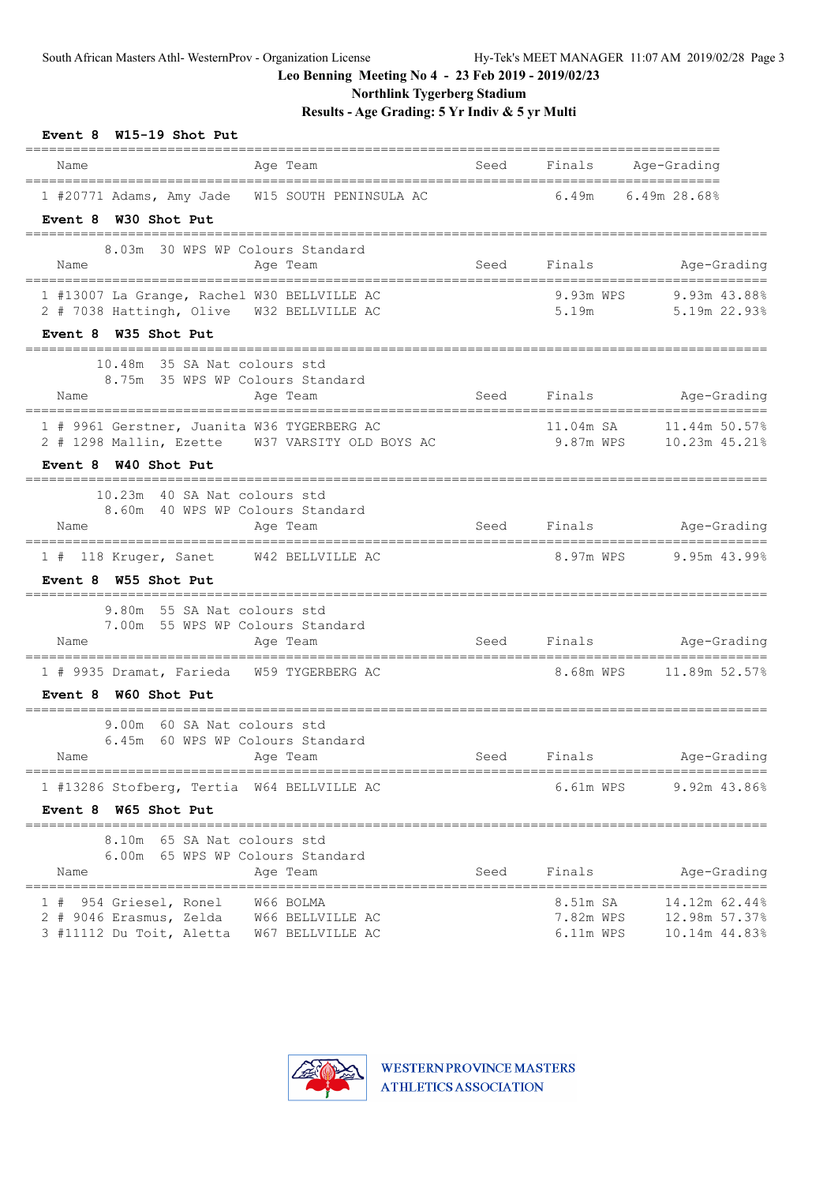**Northlink Tygerberg Stadium**

| Event 8 W15-19 Shot Put<br>---------                                                                                      |      |                        |                                                                                    |
|---------------------------------------------------------------------------------------------------------------------------|------|------------------------|------------------------------------------------------------------------------------|
| Name<br>Age Team<br>=====================================                                                                 |      |                        | Seed Finals Age-Grading                                                            |
| 1 #20771 Adams, Amy Jade W15 SOUTH PENINSULA AC<br>Event 8 W30 Shot Put                                                   |      | 6.49m                  | 6.49m 28.68%                                                                       |
| 8.03m 30 WPS WP Colours Standard<br>Name<br>Age Team                                                                      | Seed |                        | Finals Age-Grading                                                                 |
| 1 #13007 La Grange, Rachel W30 BELLVILLE AC<br>2 # 7038 Hattingh, Olive W32 BELLVILLE AC<br>Event 8 W35 Shot Put          |      | 9.93m WPS<br>5.19m     | 9.93m 43.88%<br>5.19m 22.93%                                                       |
| 10.48m 35 SA Nat colours std<br>8.75m 35 WPS WP Colours Standard<br>Age Team<br>Name                                      | Seed | Finals                 | Age-Grading                                                                        |
| 1 # 9961 Gerstner, Juanita W36 TYGERBERG AC<br>2 # 1298 Mallin, Ezette W37 VARSITY OLD BOYS AC                            |      | 11.04m SA<br>9.87m WPS | 11.44m 50.57%<br>10.23m 45.21%                                                     |
| Event 8 W40 Shot Put<br>10.23m 40 SA Nat colours std<br>8.60m 40 WPS WP Colours Standard<br>Name<br>Age Team              |      | Seed Finals            | Age-Grading                                                                        |
| 1 # 118 Kruger, Sanet W42 BELLVILLE AC<br>Event 8 W55 Shot Put                                                            |      | 8.97m WPS              | $9.95m$ 43.99%                                                                     |
| 9.80m 55 SA Nat colours std<br>7.00m 55 WPS WP Colours Standard<br>Name<br>Age Team                                       |      |                        | Seed Finals Age-Grading                                                            |
| 1 # 9935 Dramat, Farieda W59 TYGERBERG AC<br>Event 8 W60 Shot Put                                                         |      |                        |                                                                                    |
| 9.00m 60 SA Nat colours std<br>6.45m 60 WPS WP Colours Standard<br>Name Aqe Team                                          |      |                        | Seed Finals Age-Grading                                                            |
| 1 #13286 Stofberg, Tertia W64 BELLVILLE AC<br>Event 8 W65 Shot Put                                                        |      | 6.61m WPS              | $9.92m$ 43.86%                                                                     |
| 8.10m 65 SA Nat colours std<br>6.00m 65 WPS WP Colours Standard<br>Age Team<br>Name                                       |      | Seed Finals            | Age-Grading                                                                        |
| 1 # 954 Griesel, Ronel W66 BOLMA<br>2 # 9046 Erasmus, Zelda W66 BELLVILLE AC<br>3 #11112 Du Toit, Aletta W67 BELLVILLE AC |      |                        | 8.51m SA 14.12m 62.44%<br>7.82m WPS 12.98m 57.37%<br>6.11m WPS    10.14m    44.83% |

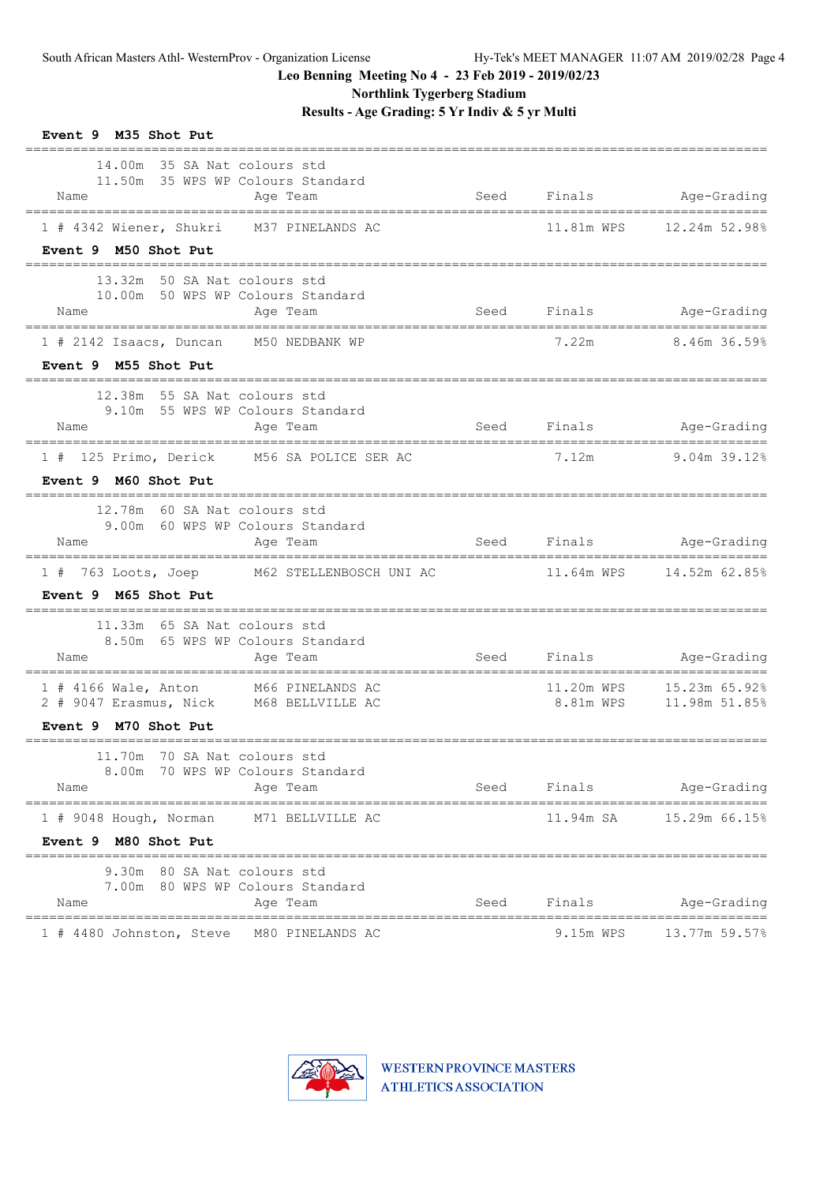**Northlink Tygerberg Stadium**

| Event 9 M35 Shot Put                                                                                                |                  |      |             |                               |
|---------------------------------------------------------------------------------------------------------------------|------------------|------|-------------|-------------------------------|
| 14.00m 35 SA Nat. colours std<br>11.50m 35 WPS WP Colours Standard<br>Name<br>------------------------------------- | Age Team         | Seed |             | Finals Age-Grading            |
| 1 # 4342 Wiener, Shukri M37 PINELANDS AC                                                                            |                  |      | 11.81m WPS  | 12.24m 52.98%                 |
| Event 9 M50 Shot Put                                                                                                |                  |      |             |                               |
| 13.32m 50 SA Nat colours std<br>10.00m 50 WPS WP Colours Standard<br>Name                                           | Age Team         |      |             | Seed Finals Age-Grading       |
| 1 # 2142 Isaacs, Duncan M50 NEDBANK WP                                                                              |                  |      |             | 7.22m 8.46m 36.59%            |
| Event 9 M55 Shot Put                                                                                                |                  |      |             |                               |
| 12.38m 55 SA Nat colours std<br>9.10m 55 WPS WP Colours Standard<br>Name                                            | Age Team         |      | Seed Finals | Age-Grading                   |
| 1 # 125 Primo, Derick M56 SA POLICE SER AC                                                                          |                  |      | 7.12m       | 9.04m 39.12%                  |
| Event 9 M60 Shot Put                                                                                                |                  |      |             |                               |
| 12.78m 60 SA Nat colours std<br>9.00m 60 WPS WP Colours Standard                                                    |                  |      |             |                               |
| Name                                                                                                                | Age Team         |      | Seed Finals | Age-Grading                   |
| 1 # 763 Loots, Joep M62 STELLENBOSCH UNI AC<br>Event 9 M65 Shot Put                                                 |                  |      |             |                               |
| 11.33m 65 SA Nat colours std<br>8.50m 65 WPS WP Colours Standard<br>Name                                            | Age Team         |      |             | Seed Finals Age-Grading       |
| 1 # 4166 Wale, Anton M66 PINELANDS AC<br>2 # 9047 Erasmus, Nick M68 BELLVILLE AC                                    |                  |      |             | 8.81m WPS    11.98m    51.85% |
| Event 9 M70 Shot Put                                                                                                |                  |      |             |                               |
| 11.70m 70 SA Nat colours std<br>8.00m 70 WPS WP Colours Standard<br>Name                                            | Age Team         |      | Seed Finals | Age-Grading                   |
| 1 # 9048 Hough, Norman                                                                                              | M71 BELLVILLE AC |      | 11.94m SA   | 15.29m 66.15%                 |
| Event 9 M80 Shot Put                                                                                                |                  |      |             |                               |
| 9.30m 80 SA Nat colours std<br>7.00m 80 WPS WP Colours Standard<br>Name                                             | Age Team         | Seed | Finals      | Age-Grading                   |
|                                                                                                                     |                  |      |             |                               |

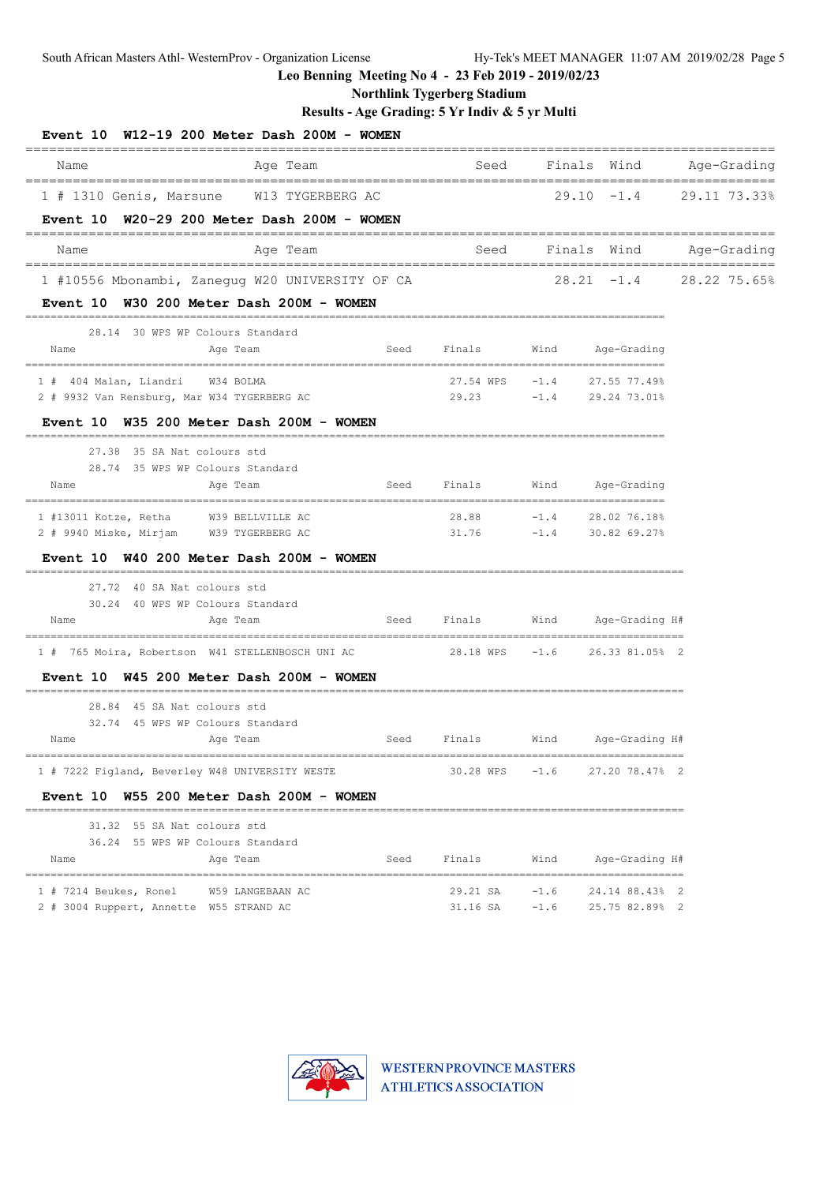South African Masters Athl- WesternProv - Organization License Hy-Tek's MEET MANAGER 11:07 AM 2019/02/28 Page 5

**Leo Benning Meeting No 4 - 23 Feb 2019 - 2019/02/23**

**Northlink Tygerberg Stadium**

| Event 10 W12-19 200 Meter Dash 200M - WOMEN                                        |                  |      | ==================================== |        |                                            | =================         |
|------------------------------------------------------------------------------------|------------------|------|--------------------------------------|--------|--------------------------------------------|---------------------------|
| Name                                                                               | Age Team         |      | Seed                                 |        | Finals Wind                                | Age-Grading               |
| 1 # 1310 Genis, Marsune W13 TYGERBERG AC                                           |                  |      |                                      |        | $29.10 - 1.4$                              | 29.11 73.33%              |
| Event 10 W20-29 200 Meter Dash 200M - WOMEN                                        |                  |      |                                      |        |                                            |                           |
| Name                                                                               | Age Team         |      | Seed                                 |        | Finals Wind                                | Age-Grading               |
| 1 #10556 Mbonambi, Zanegug W20 UNIVERSITY OF CA                                    |                  |      |                                      |        |                                            | $28.21 -1.4$ 28.22 75.65% |
| Event 10 W30 200 Meter Dash 200M - WOMEN                                           |                  |      |                                      |        |                                            |                           |
| 28.14 30 WPS WP Colours Standard                                                   |                  |      |                                      |        |                                            |                           |
| Name                                                                               | Age Team         | Seed | Finals                               | Wind   | Age-Grading                                |                           |
| 1 # 404 Malan, Liandri W34 BOLMA                                                   |                  |      |                                      |        | 27.54 WPS    -1.4    27.55    77.49%       |                           |
| 2 # 9932 Van Rensburg, Mar W34 TYGERBERG AC                                        |                  |      |                                      |        | 29.23 -1.4 29.24 73.01%                    |                           |
| Event 10 W35 200 Meter Dash 200M - WOMEN                                           |                  |      |                                      |        |                                            |                           |
| 27.38 35 SA Nat colours std                                                        |                  |      |                                      |        |                                            |                           |
| 28.74 35 WPS WP Colours Standard<br>Name                                           | Age Team         | Seed | Finals                               | Wind   | Age-Grading                                |                           |
|                                                                                    |                  |      |                                      |        |                                            |                           |
| 1 #13011 Kotze, Retha W39 BELLVILLE AC<br>2 # 9940 Miske, Mirjam W39 TYGERBERG AC  |                  |      | 28.88<br>31.76                       |        | $-1.4$ 28.02 76.18%<br>$-1.4$ 30.82 69.27% |                           |
| Event 10 W40 200 Meter Dash 200M - WOMEN                                           |                  |      |                                      |        |                                            |                           |
| 27.72 40 SA Nat colours std                                                        |                  |      |                                      |        |                                            |                           |
| 30.24 40 WPS WP Colours Standard                                                   |                  |      |                                      |        |                                            |                           |
| Name                                                                               | Age Team         | Seed | Finals                               |        | Wind Age-Grading H#                        |                           |
| 1 # 765 Moira, Robertson W41 STELLENBOSCH UNI AC $28.18$ WPS $-1.6$ 26.33 81.05% 2 |                  |      |                                      |        |                                            |                           |
| Event 10 W45 200 Meter Dash 200M - WOMEN<br>============================           |                  |      |                                      |        |                                            |                           |
| 28.84 45 SA Nat colours std                                                        |                  |      |                                      |        |                                            |                           |
| 32.74 45 WPS WP Colours Standard                                                   |                  |      |                                      |        |                                            |                           |
| Name                                                                               | Age Team         | Seed | Finals                               | Wind   | Age-Grading H#                             |                           |
| 1 # 7222 Figland, Beverley W48 UNIVERSITY WESTE                                    |                  |      | 30.28 WPS                            | $-1.6$ | 27.20 78.47% 2                             |                           |
| Event 10 W55 200 Meter Dash 200M - WOMEN                                           |                  |      |                                      |        |                                            |                           |
| 31.32 55 SA Nat colours std                                                        |                  |      |                                      |        |                                            |                           |
| 36.24 55 WPS WP Colours Standard<br>Name                                           | Age Team         | Seed | Finals                               | Wind   | Age-Grading H#                             |                           |
|                                                                                    |                  |      |                                      |        |                                            |                           |
| 1 # 7214 Beukes, Ronel                                                             | W59 LANGEBAAN AC |      | 29.21 SA                             | $-1.6$ | 24.14 88.43% 2                             |                           |
| 2 # 3004 Ruppert, Annette W55 STRAND AC                                            |                  |      | $31.16$ SA $-1.6$                    |        | 25.75 82.89% 2                             |                           |

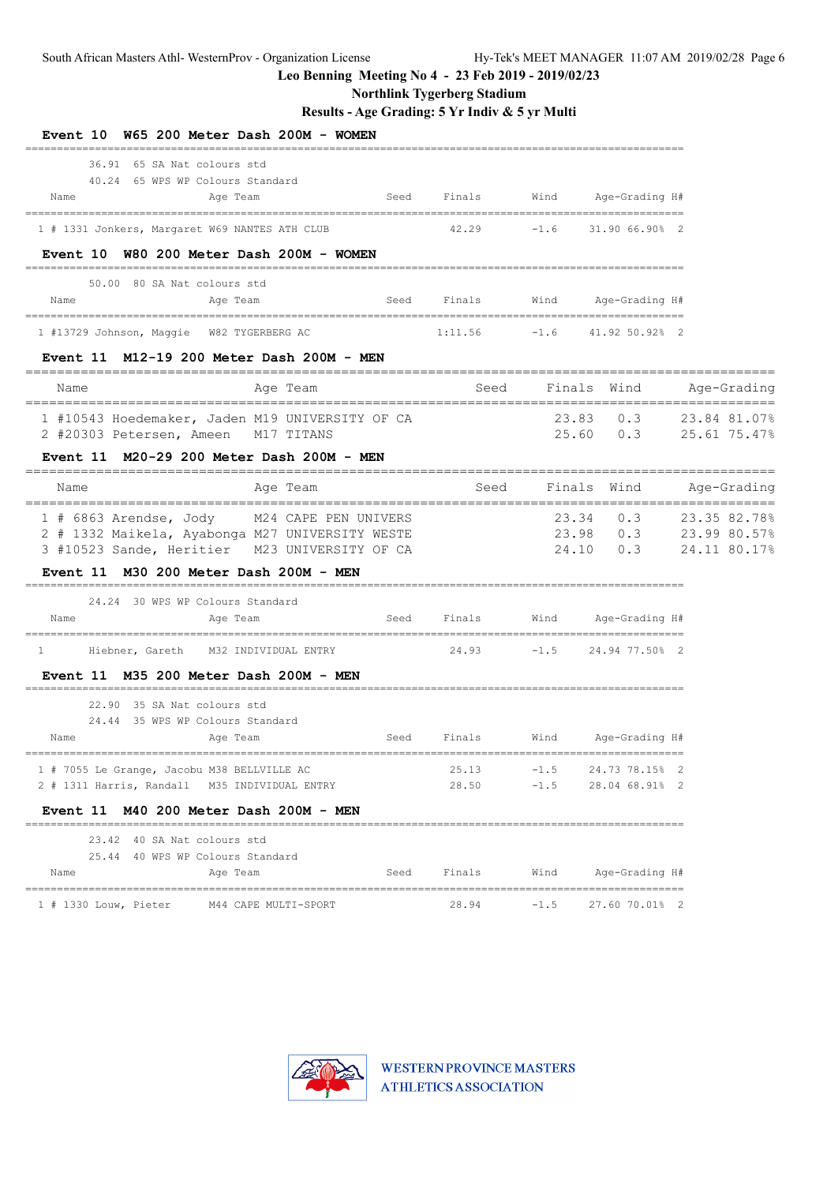**Northlink Tygerberg Stadium**

| Event 10 W65 200 Meter Dash 200M - WOMEN                                                                                                        |                                  |                                                                                                                |        |                                                                   |              |              |
|-------------------------------------------------------------------------------------------------------------------------------------------------|----------------------------------|----------------------------------------------------------------------------------------------------------------|--------|-------------------------------------------------------------------|--------------|--------------|
| 36.91 65 SA Nat colours std<br>40.24 65 WPS WP Colours Standard<br>Age Team<br>Name                                                             | Seed                             | Finals                                                                                                         | Wind   | Age-Grading H#                                                    |              |              |
| 1 # 1331 Jonkers, Margaret W69 NANTES ATH CLUB                                                                                                  |                                  |                                                                                                                |        | $42.29$ $-1.6$ $31.9066.908$ 2                                    |              |              |
| Event 10 W80 200 Meter Dash 200M - WOMEN                                                                                                        |                                  |                                                                                                                |        |                                                                   |              |              |
| 50.00 80 SA Nat colours std<br>Name<br>Age Team                                                                                                 | Seed                             | Finals                                                                                                         | Wind   | Age-Grading H#                                                    |              |              |
| 1 #13729 Johnson, Maggie W82 TYGERBERG AC                                                                                                       | $1:11.56$ $-1.6$ $41.92 50.92$ 2 |                                                                                                                |        |                                                                   |              |              |
| Event $11$ M12-19 200 Meter Dash 200M - MEN                                                                                                     |                                  |                                                                                                                |        |                                                                   |              |              |
| Name<br>Age Team                                                                                                                                |                                  | in the Seed of the Seed of the Seed of the Seed of the Seed of the Seed of the Seed of the Seed of the Seed of |        | Finals Wind                                                       |              | Age-Grading  |
| 1 #10543 Hoedemaker, Jaden M19 UNIVERSITY OF CA<br>2 #20303 Petersen, Ameen M17 TITANS                                                          |                                  |                                                                                                                |        | 23.83 0.3<br>25.60 0.3 25.61 75.47%                               | 23.84 81.07% |              |
| Event 11 M20-29 200 Meter Dash 200M - MEN                                                                                                       |                                  |                                                                                                                |        |                                                                   |              |              |
| Name<br>Age Team<br>--------------------------------------                                                                                      |                                  | Seed                                                                                                           |        | Finals Wind Age-Grading                                           |              |              |
| 1 # 6863 Arendse, Jody M24 CAPE PEN UNIVERS<br>2 # 1332 Maikela, Ayabonga M27 UNIVERSITY WESTE<br>3 #10523 Sande, Heritier M23 UNIVERSITY OF CA |                                  |                                                                                                                |        | 23.34 0.3<br>$23.98$ 0.3 $23.99$ 80.57%<br>24.10 0.3 24.11 80.17% |              | 23.35 82.78% |
| Event 11 M30 200 Meter Dash 200M - MEN                                                                                                          |                                  |                                                                                                                |        |                                                                   |              |              |
| 24.24 30 WPS WP Colours Standard<br>Name<br>Age Team                                                                                            | Seed                             | Finals                                                                                                         |        | Wind Age-Grading H#                                               |              |              |
| Hiebner, Gareth M32 INDIVIDUAL ENTRY<br>$\mathbf{1}$                                                                                            |                                  |                                                                                                                |        | 24.93 -1.5 24.94 77.50% 2                                         |              |              |
| Event 11 M35 200 Meter Dash 200M - MEN                                                                                                          |                                  |                                                                                                                |        |                                                                   |              |              |
| 22.90 35 SA Nat colours std<br>24.44 35 WPS WP Colours Standard                                                                                 |                                  |                                                                                                                |        |                                                                   |              |              |
| Name<br>Age Team                                                                                                                                | Seed                             | Finals                                                                                                         |        | Wind Age-Grading H#                                               |              |              |
| 1 # 7055 Le Grange, Jacobu M38 BELLVILLE AC                                                                                                     |                                  | 25.13                                                                                                          |        | $-1.5$ 24.73 78.15% 2                                             |              |              |
| 2 # 1311 Harris, Randall M35 INDIVIDUAL ENTRY<br>Event 11 M40 200 Meter Dash 200M - MEN                                                         |                                  | 28.50                                                                                                          |        | $-1.5$ 28.04 68.91% 2                                             |              |              |
| 23.42 40 SA Nat colours std                                                                                                                     |                                  |                                                                                                                |        |                                                                   |              |              |
| 25.44 40 WPS WP Colours Standard<br>Age Team<br>Name                                                                                            | Seed                             | Finals                                                                                                         |        | Wind Age-Grading H#                                               |              |              |
| ====================================<br>1 # 1330 Louw, Pieter M44 CAPE MULTI-SPORT                                                              |                                  | 28.94                                                                                                          | $-1.5$ | 27.60 70.01% 2                                                    |              |              |

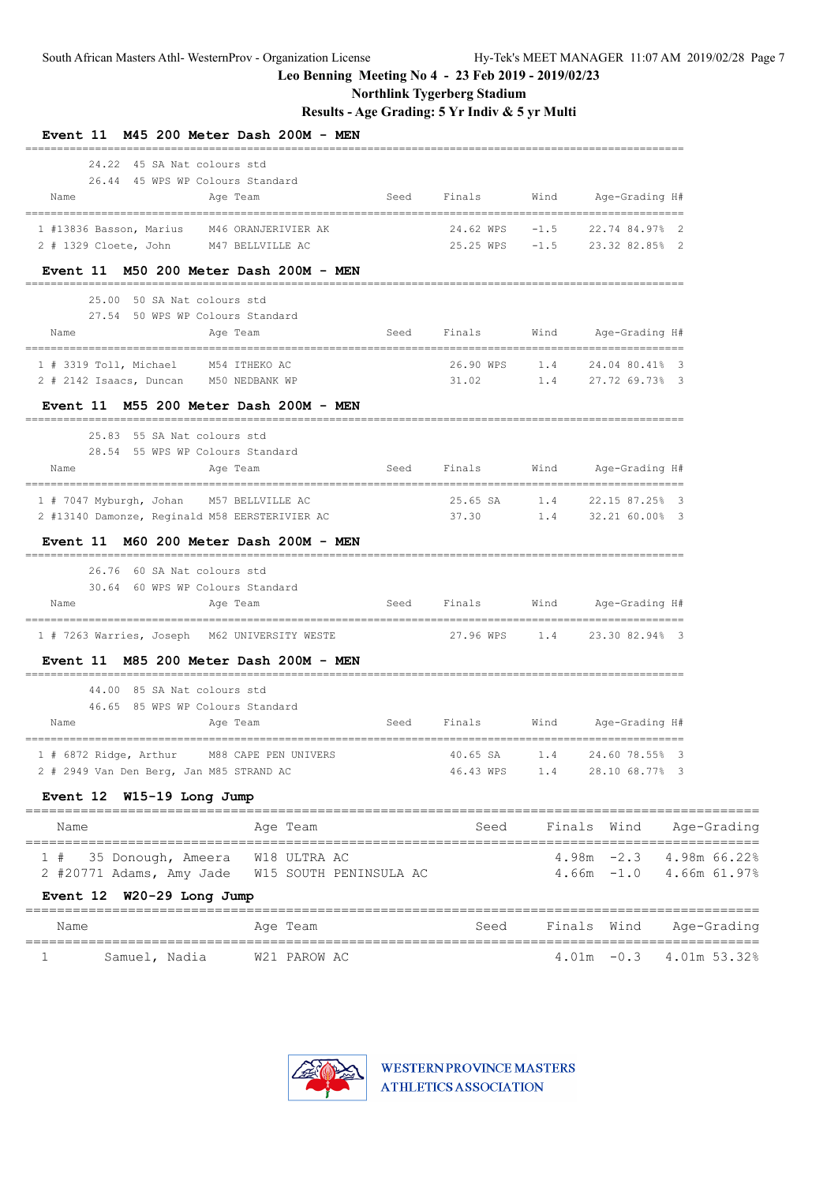# **Northlink Tygerberg Stadium**

**Results - Age Grading: 5 Yr Indiv & 5 yr Multi**

| Event 11 M45 200 Meter Dash 200M - MEN                                                     |                                 |          |                                                                 |  |
|--------------------------------------------------------------------------------------------|---------------------------------|----------|-----------------------------------------------------------------|--|
| 24.22 45 SA Nat colours std<br>26.44 45 WPS WP Colours Standard<br>Name<br>Age Team        |                                 |          | Seed Finals Wind Age-Grading H#                                 |  |
| 1 #13836 Basson, Marius M46 ORANJERIVIER AK                                                |                                 |          | 24.62 WPS -1.5 22.74 84.97% 2                                   |  |
| 2 # 1329 Cloete, John M47 BELLVILLE AC<br>Event 11 M50 200 Meter Dash 200M - MEN           |                                 |          | 25.25 WPS -1.5 23.32 82.85% 2                                   |  |
| 25.00 50 SA Nat colours std                                                                |                                 |          |                                                                 |  |
| 27.54 50 WPS WP Colours Standard<br>Name<br>Age Team                                       |                                 |          | Seed Finals Wind Age-Grading H#                                 |  |
| 1 # 3319 Toll, Michael M54 ITHEKO AC                                                       |                                 |          | 26.90 WPS 1.4 24.04 80.41% 3<br>31.02 1.4 27.72 69.73% 3        |  |
| 2 # 2142 Isaacs, Duncan M50 NEDBANK WP                                                     |                                 |          |                                                                 |  |
| Event 11 M55 200 Meter Dash 200M - MEN                                                     |                                 |          |                                                                 |  |
| 25.83 55 SA Nat colours std                                                                |                                 |          |                                                                 |  |
| 28.54 55 WPS WP Colours Standard<br>Name<br>Age Team                                       |                                 |          | Seed Finals Wind Age-Grading H#                                 |  |
|                                                                                            |                                 |          |                                                                 |  |
| 1 # 7047 Myburgh, Johan M57 BELLVILLE AC<br>2 #13140 Damonze, Reginald M58 EERSTERIVIER AC |                                 |          | 25.65 SA 1.4 22.15 87.25% 3<br>37.30   1.4   32.21   60.00%   3 |  |
| Event 11 M60 200 Meter Dash 200M - MEN                                                     |                                 |          |                                                                 |  |
| 26.76 60 SA Nat colours std                                                                |                                 |          |                                                                 |  |
| 30.64 60 WPS WP Colours Standard<br>Name<br>Age Team                                       |                                 |          | Seed Finals Wind Age-Grading H#                                 |  |
| 1 # 7263 Warries, Joseph M62 UNIVERSITY WESTE                                              |                                 |          | 27.96 WPS 1.4 23.30 82.94% 3                                    |  |
| Event 11 M85 200 Meter Dash 200M - MEN                                                     |                                 |          |                                                                 |  |
| 44.00 85 SA Nat colours std                                                                |                                 |          |                                                                 |  |
| 46.65 85 WPS WP Colours Standard<br>Name<br>Age Team                                       | Seed Finals Wind Age-Grading H# |          |                                                                 |  |
| 1 # 6872 Ridge, Arthur M88 CAPE PEN UNIVERS                                                |                                 | 40.65 SA | 1.4 24.60 78.55% 3                                              |  |
| Event 12 W15-19 Long Jump                                                                  |                                 |          |                                                                 |  |
| Age Team<br>Name                                                                           |                                 |          | Seed Finals Wind Age-Grading                                    |  |
| 2 # 2949 Van Den Berg, Jan M85 STRAND AC                                                   |                                 |          | 46.43 WPS 1.4 28.10 68.77% 3                                    |  |

#### **Event 12 W20-29 Long Jump**

| Name |               | Age Team     | Seed |  | Finals Wind Age-Grading      |
|------|---------------|--------------|------|--|------------------------------|
|      | Samuel, Nadia | W21 PAROW AC |      |  | $4.01m - 0.3$ $4.01m$ 53.32% |

1 # 35 Donough, Ameera W18 ULTRA AC 4.98m -2.3 4.98m 66.22%<br>2 #20771 Adams, Amy Jade W15 SOUTH PENINSULA AC 4.66m -1.0 4.66m 61.97%



2 #20771 Adams, Amy Jade W15 SOUTH PENINSULA AC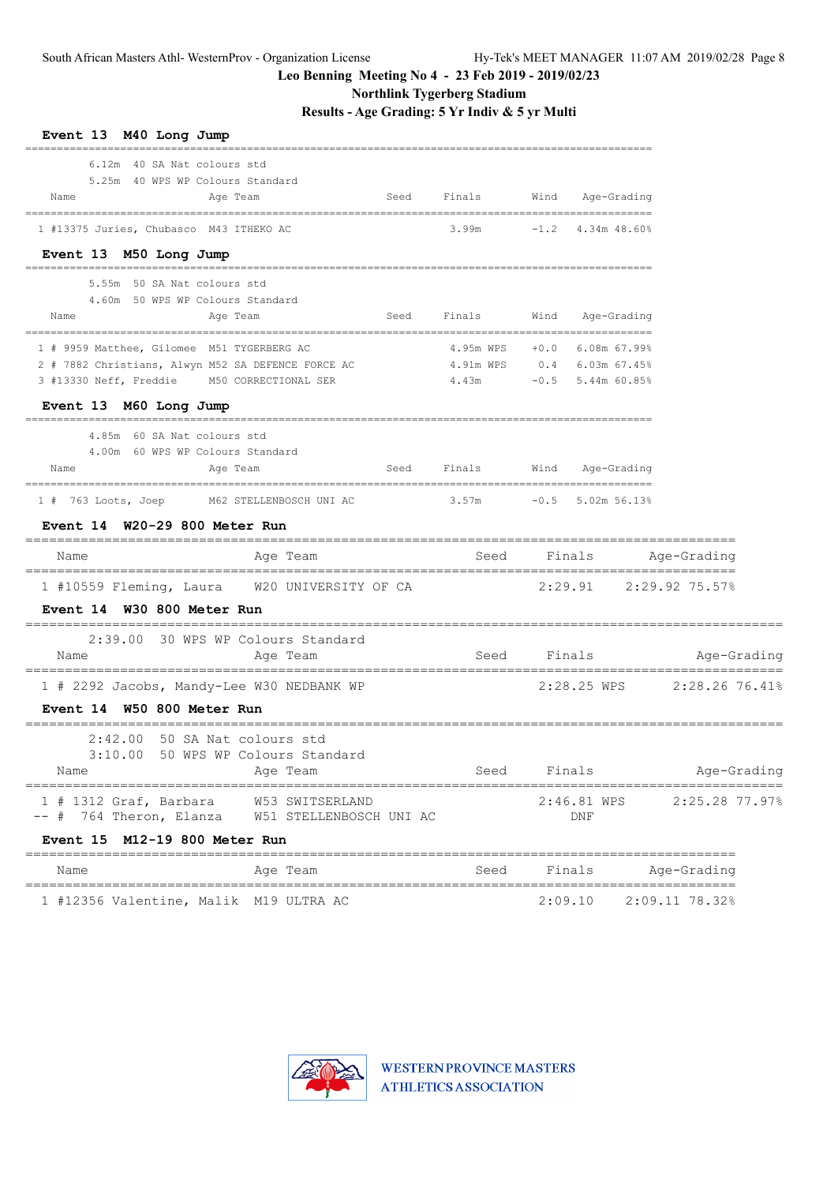**Northlink Tygerberg Stadium**

| Event 13 M40 Long Jump                                                                            |                                            |      |                                     |         |                     |                                                    |             |
|---------------------------------------------------------------------------------------------------|--------------------------------------------|------|-------------------------------------|---------|---------------------|----------------------------------------------------|-------------|
| 6.12m 40 SA Nat colours std<br>5.25m 40 WPS WP Colours Standard<br>Name<br>Age Team               |                                            | Seed | Finals                              |         | Wind Age-Grading    |                                                    |             |
| 1 #13375 Juries, Chubasco M43 ITHEKO AC                                                           |                                            |      | 3.99m                               |         | $-1.2$ 4.34m 48.60% |                                                    |             |
| Event 13 M50 Long Jump                                                                            |                                            |      |                                     |         |                     |                                                    |             |
| 5.55m 50 SA Nat colours std                                                                       |                                            |      |                                     |         |                     |                                                    |             |
| 4.60m 50 WPS WP Colours Standard<br>Name<br>Age Team                                              |                                            | Seed | Finals                              | Wind    | Age-Grading         |                                                    |             |
| 1 # 9959 Matthee, Gilomee M51 TYGERBERG AC                                                        |                                            |      |                                     |         |                     |                                                    |             |
| 2 # 7882 Christians, Alwyn M52 SA DEFENCE FORCE AC<br>3 #13330 Neff, Freddie M50 CORRECTIONAL SER |                                            |      | 4.91m WPS 0.4 6.03m 67.45%<br>4.43m |         | $-0.5$ 5.44m 60.85% |                                                    |             |
| Event 13 M60 Long Jump                                                                            |                                            |      |                                     |         |                     |                                                    |             |
| 4.85m 60 SA Nat colours std                                                                       |                                            |      |                                     |         |                     |                                                    |             |
| 4.00m 60 WPS WP Colours Standard<br>Name<br>Age Team                                              |                                            | Seed | Finals                              |         | Wind Age-Grading    |                                                    |             |
| 1 # 763 Loots, Joep M62 STELLENBOSCH UNI AC 3.57m -0.5 5.02m 56.13%                               |                                            |      |                                     |         |                     |                                                    |             |
| Event 14 W20-29 800 Meter Run                                                                     | =====================================      |      |                                     |         |                     |                                                    |             |
| Name                                                                                              | Age Team                                   |      | Seed Finals                         |         |                     | Age-Grading                                        |             |
| 1 #10559 Fleming, Laura W20 UNIVERSITY OF CA<br>Event 14 W30 800 Meter Run                        |                                            |      |                                     |         |                     | $2:29.91$ $2:29.92$ 75.57%                         |             |
| 2:39.00 30 WPS WP Colours Standard<br>Name                                                        | Age Team                                   |      | Seed                                |         | Finals              | Age-Grading                                        |             |
| 1 # 2292 Jacobs, Mandy-Lee W30 NEDBANK WP<br>Event 14 W50 800 Meter Run                           |                                            |      |                                     |         |                     | 2:28.25 WPS 2:28.26 76.41%                         |             |
| 50 SA Nat colours std<br>2:42.00<br>3:10.00<br>Name                                               | 50 WPS WP Colours Standard<br>Age Team     |      | Seed                                |         | Finals              |                                                    | Age-Grading |
| $1$ # 1312 Graf, Barbara<br>-- # 764 Theron, Elanza<br>Event 15 M12-19 800 Meter Run              | W53 SWITSERLAND<br>W51 STELLENBOSCH UNI AC |      |                                     |         | 2:46.81 WPS<br>DNF  | 2:25.28 77.97%                                     |             |
| Name                                                                                              | ____________________<br>Age Team           |      | Seed                                |         | Finals              | =================<br>Age-Grading                   |             |
| ===============<br>1 #12356 Valentine, Malik M19 ULTRA AC                                         |                                            |      |                                     | 2:09.10 |                     | ================================<br>2:09.11 78.32% |             |

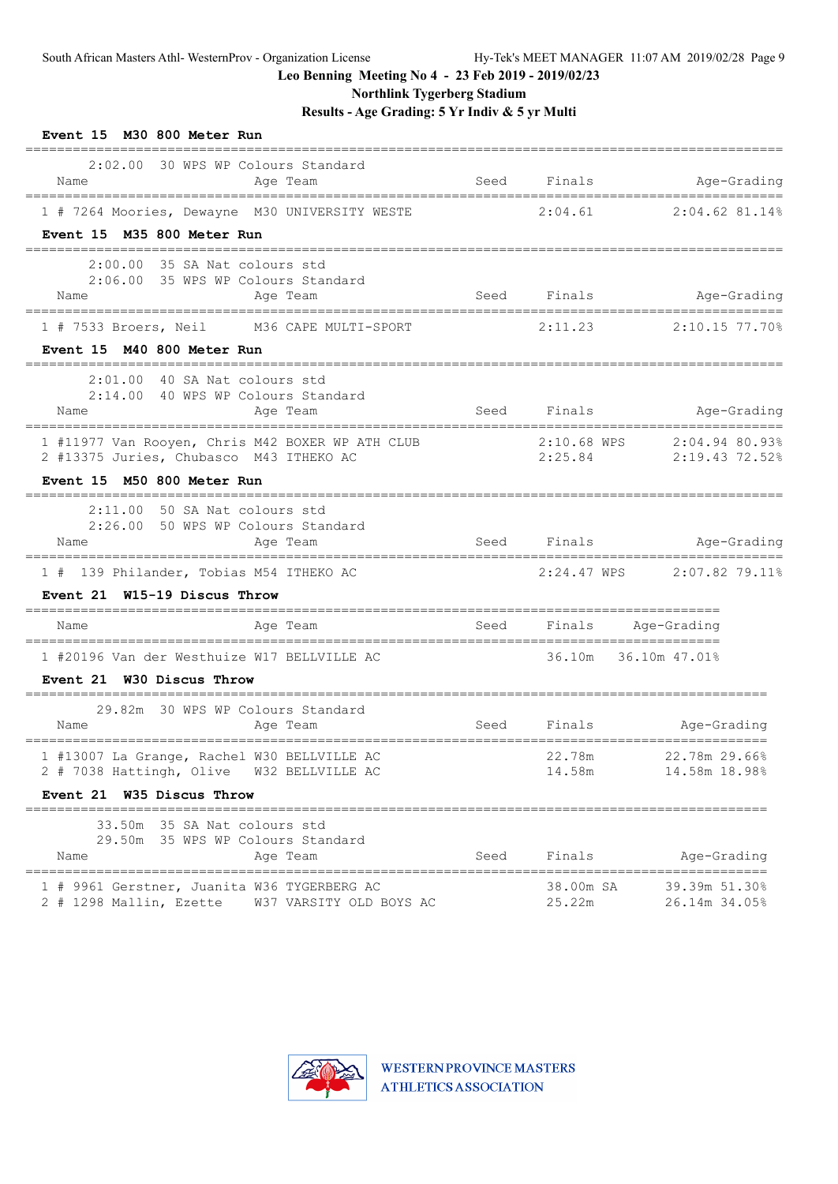**Northlink Tygerberg Stadium**

| Event 15 M30 800 Meter Run                                                                                                |                         |             |                        |                                  |
|---------------------------------------------------------------------------------------------------------------------------|-------------------------|-------------|------------------------|----------------------------------|
| 2:02.00 30 WPS WP Colours Standard<br>Name                                                                                | Age Team                |             | Seed Finals            | Age-Grading                      |
| 1 # 7264 Moories, Dewayne M30 UNIVERSITY WESTE                                                                            |                         |             | 2:04.61                | 2:04.62 81.14%                   |
| Event 15 M35 800 Meter Run                                                                                                |                         |             |                        |                                  |
| $2:00.00$ 35 SA Nat colours std<br>2:06.00 35 WPS WP Colours Standard<br>Name                                             | Age Team                |             |                        | Seed Finals<br>Age-Grading       |
| 1 # 7533 Broers, Neil M36 CAPE MULTI-SPORT                                                                                |                         | 2:11.23     |                        | 2:10.15 77.70%                   |
| Event 15 M40 800 Meter Run                                                                                                |                         |             |                        |                                  |
| 2:01.00 40 SA Nat colours std<br>2:14.00 40 WPS WP Colours Standard<br>Name                                               | Age Team                | Seed Finals |                        | Age-Grading                      |
| 1 #11977 Van Rooyen, Chris M42 BOXER WP ATH CLUB<br>2 #13375 Juries, Chubasco M43 ITHEKO AC<br>Event 15 M50 800 Meter Run |                         |             | 2:10.68 WPS<br>2:25.84 | 2:04.94 80.93%<br>2:19.43 72.52% |
| $2:11.00$ 50 SA Nat colours std                                                                                           |                         |             |                        |                                  |
| 2:26.00 50 WPS WP Colours Standard<br>Name                                                                                | Age Team                |             |                        | Seed Finals Mge-Grading          |
| 1 # 139 Philander, Tobias M54 ITHEKO AC                                                                                   |                         |             |                        | $2:24.47$ WPS $2:07.82$ 79.11%   |
| Event 21 W15-19 Discus Throw                                                                                              |                         |             |                        |                                  |
| Name                                                                                                                      | Age Team                |             |                        | Seed Finals Age-Grading          |
| 1 #20196 Van der Westhuize W17 BELLVILLE AC<br>Event 21 W30 Discus Throw<br>===================                           |                         |             |                        | 36.10m 36.10m 47.01%             |
| 29.82m 30 WPS WP Colours Standard<br>Name                                                                                 | Age Team                | <b>Seed</b> | Finals                 | Age-Grading                      |
| 1 #13007 La Grange, Rachel W30 BELLVILLE AC<br>2 # 7038 Hattingh, Olive                                                   | W32 BELLVILLE AC        |             | 22.78m<br>14.58m       | 22.78m 29.66%<br>14.58m 18.98%   |
| Event 21 W35 Discus Throw                                                                                                 |                         |             |                        |                                  |
| 35 SA Nat colours std<br>33.50m<br>29.50m 35 WPS WP Colours Standard<br>Name                                              | Age Team                | Seed        | Finals                 | Age-Grading                      |
| 1 # 9961 Gerstner, Juanita W36 TYGERBERG AC<br>2 # 1298 Mallin, Ezette                                                    | W37 VARSITY OLD BOYS AC |             | 38.00m SA<br>25.22m    | 39.39m 51.30%<br>26.14m 34.05%   |

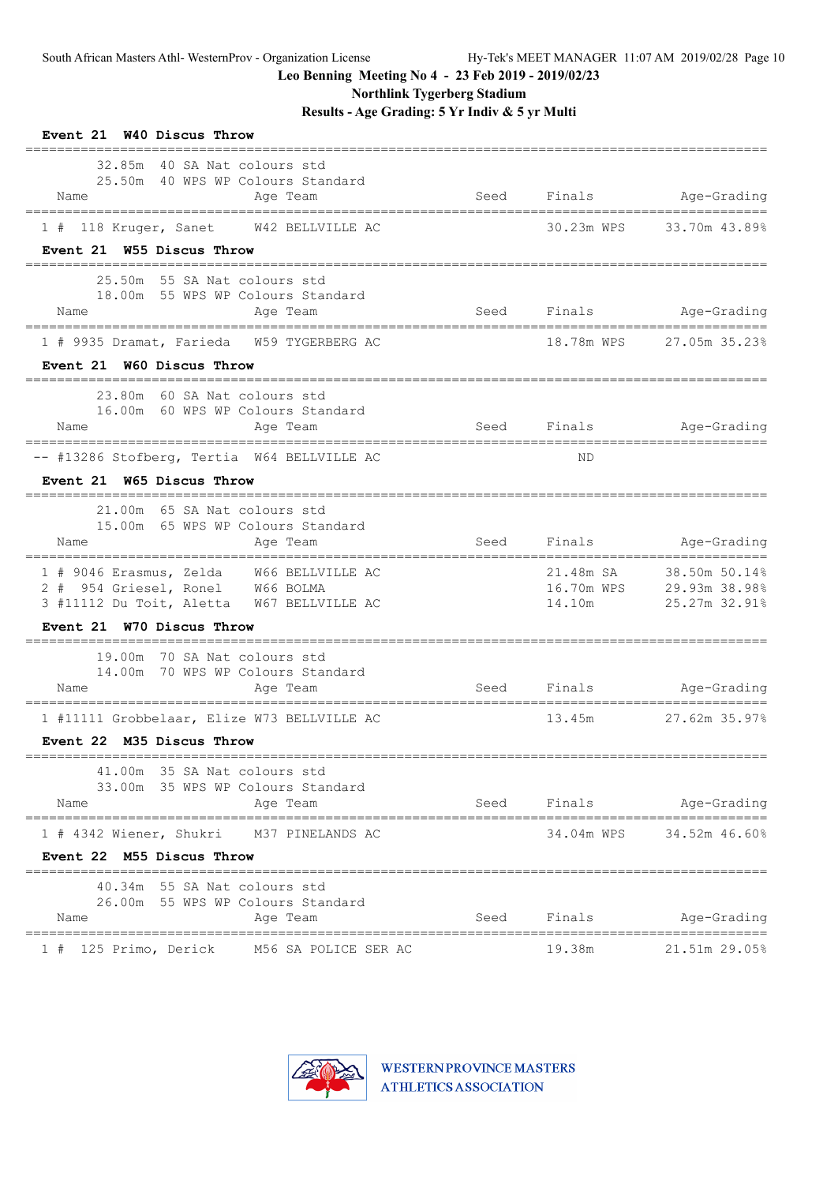**Northlink Tygerberg Stadium**

| Event 21 W40 Discus Throw                                                                                                                             |      |             |                                                                      |
|-------------------------------------------------------------------------------------------------------------------------------------------------------|------|-------------|----------------------------------------------------------------------|
| 32.85m 40 SA Nat colours std<br>25.50m 40 WPS WP Colours Standard<br>Name<br>Age Team                                                                 | Seed |             | Finals Age-Grading                                                   |
| 1 # 118 Kruger, Sanet W42 BELLVILLE AC<br>Event 21 W55 Discus Throw                                                                                   |      | 30.23m WPS  | 33.70m 43.89%                                                        |
| 25.50m 55 SA Nat colours std<br>18.00m 55 WPS WP Colours Standard<br>Name<br>Age Team                                                                 |      |             | Seed Finals Age-Grading                                              |
| 1 # 9935 Dramat, Farieda W59 TYGERBERG AC<br>Event 21 W60 Discus Throw                                                                                |      |             | 18.78m WPS 27.05m 35.23%                                             |
| 23.80m 60 SA Nat colours std<br>16.00m 60 WPS WP Colours Standard<br>Age Team<br>Name                                                                 |      |             | Seed Finals Age-Grading                                              |
| -- #13286 Stofberg, Tertia W64 BELLVILLE AC<br>Event 21 W65 Discus Throw                                                                              |      | ND.         |                                                                      |
| 21.00m 65 SA Nat colours std<br>15.00m 65 WPS WP Colours Standard<br>Age Team<br>Name                                                                 |      |             | Seed Finals Age-Grading                                              |
| 1 # 9046 Erasmus, Zelda W66 BELLVILLE AC<br>2 # 954 Griesel, Ronel W66 BOLMA<br>3 #11112 Du Toit, Aletta W67 BELLVILLE AC                             |      | 14.10m      | 21.48m SA 38.50m 50.14%<br>16.70m WPS 29.93m 38.98%<br>25.27m 32.91% |
| Event 21 W70 Discus Throw<br>________________________________                                                                                         |      |             |                                                                      |
| 19.00m 70 SA Nat colours std<br>14.00m 70 WPS WP Colours Standard<br>Name<br>Age Team                                                                 | Seed |             | Finals Age-Grading                                                   |
| 1 #11111 Grobbelaar, Elize W73 BELLVILLE AC<br>Event 22 M35 Discus Throw<br>==============================                                            |      |             | 13.45m 27.62m 35.97%                                                 |
| 41.00m 35 SA Nat colours std<br>33.00m 35 WPS WP Colours Standard<br>Name<br>Age Team                                                                 |      | Seed Finals | Age-Grading                                                          |
| ===================================<br>=====================================<br>1 # 4342 Wiener, Shukri M37 PINELANDS AC<br>Event 22 M55 Discus Throw |      |             | ================<br>34.04m WPS 34.52m 46.60%                         |
| -------------------<br>40.34m 55 SA Nat colours std<br>26.00m 55 WPS WP Colours Standard<br>Name<br>Age Team                                          | Seed | Finals      | Age-Grading                                                          |
| ===============================<br>1 # 125 Primo, Derick M56 SA POLICE SER AC                                                                         |      | 19.38m      | ==================<br>21.51m 29.05%                                  |

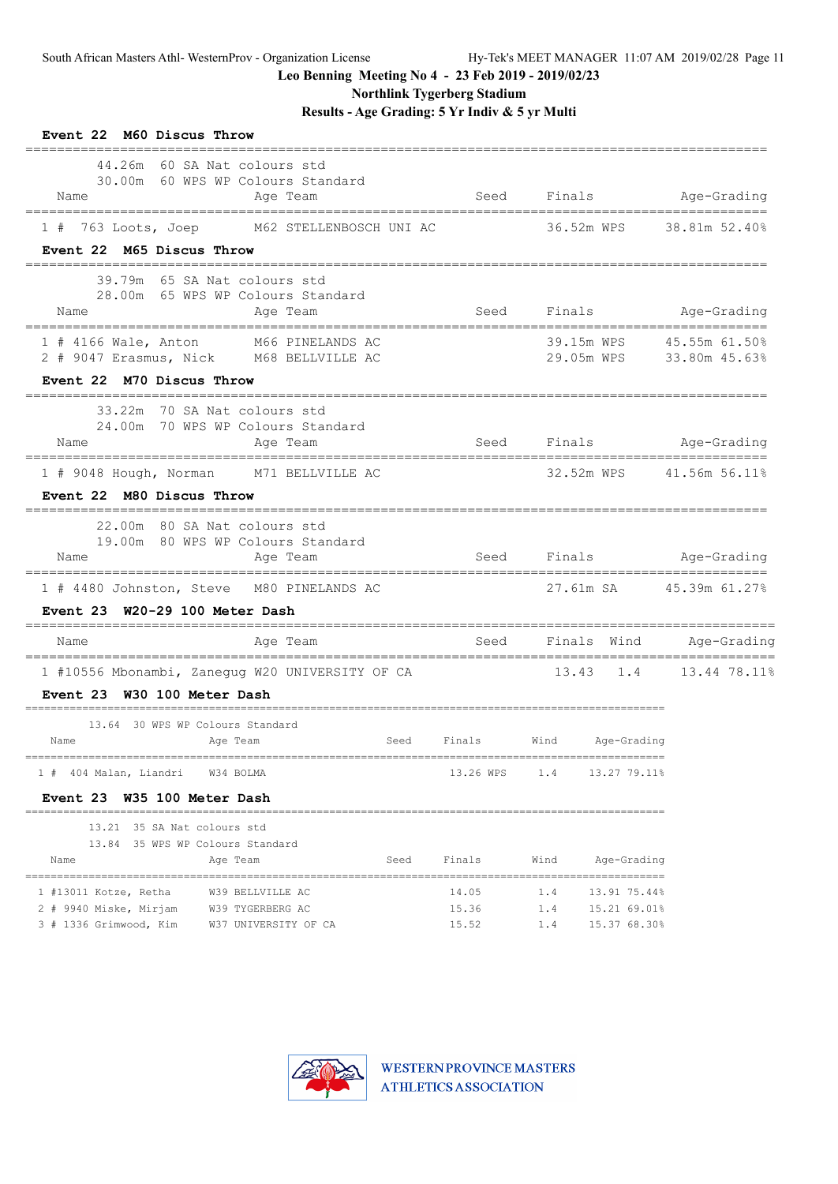**Northlink Tygerberg Stadium**

**Results - Age Grading: 5 Yr Indiv & 5 yr Multi**

| Event 22 M60 Discus Throw                                                                    |                |            |                              |                                           |
|----------------------------------------------------------------------------------------------|----------------|------------|------------------------------|-------------------------------------------|
| 44.26m 60 SA Nat colours std<br>30.00m 60 WPS WP Colours Standard<br>Name<br>Age Team        | Seed           |            |                              | Finals Age-Grading                        |
| 1 # 763 Loots, Joep M62 STELLENBOSCH UNI AC                                                  |                |            |                              | 36.52m WPS 38.81m 52.40%                  |
| Event 22 M65 Discus Throw                                                                    |                |            |                              |                                           |
| 39.79m 65 SA Nat colours std<br>28.00m 65 WPS WP Colours Standard<br>Age Team<br>Name        | Seed           |            | Finals                       | =================<br>Age-Grading          |
| M66 PINELANDS AC<br>$1$ # 4166 Wale, Anton<br>2 # 9047 Erasmus, Nick M68 BELLVILLE AC        |                |            | 39.15m WPS                   | 45.55m 61.50%<br>29.05m WPS 33.80m 45.63% |
| Event 22 M70 Discus Throw                                                                    |                |            |                              |                                           |
| 33.22m 70 SA Nat colours std<br>24.00m 70 WPS WP Colours Standard<br>Aqe Team<br>Name        |                |            |                              | Seed Finals Age-Grading                   |
| 1 # 9048 Hough, Norman M71 BELLVILLE AC                                                      |                |            |                              | 32.52m WPS 41.56m 56.11%                  |
| Event 22 M80 Discus Throw                                                                    |                |            |                              |                                           |
| 22.00m 80 SA Nat colours std                                                                 |                |            |                              |                                           |
| 19.00m 80 WPS WP Colours Standard<br>Name<br>Age Team                                        |                |            |                              | Seed Finals Age-Grading                   |
| 1 # 4480 Johnston, Steve M80 PINELANDS AC                                                    |                |            |                              | 27.61m SA 45.39m 61.27%                   |
| Event 23 W20-29 100 Meter Dash                                                               |                |            |                              |                                           |
| Name<br>Age Team                                                                             |                |            |                              | Seed Finals Wind Age-Grading              |
| =================================<br>1 #10556 Mbonambi, Zanegug W20 UNIVERSITY OF CA         |                |            |                              | 13.43 1.4 13.44 78.11%                    |
| Event 23 W30 100 Meter Dash                                                                  |                |            |                              |                                           |
| 13.64 30 WPS WP Colours Standard                                                             |                |            |                              |                                           |
| <b>Seed</b><br>Name<br>Age Team                                                              |                |            | Finals Wind Age-Grading      |                                           |
| 1 # 404 Malan, Liandri<br>W34 BOLMA                                                          | 13.26 WPS      | 1.4        | 13.27 79.11%                 |                                           |
| Event 23 W35 100 Meter Dash                                                                  |                |            |                              |                                           |
| 13.21 35 SA Nat colours std                                                                  |                |            |                              |                                           |
| 13.84 35 WPS WP Colours Standard                                                             |                |            |                              |                                           |
| Age Team<br>Seed<br>Name                                                                     | Finals         | Wind       | Age-Grading                  |                                           |
| 1 #13011 Kotze, Retha<br>W39 BELLVILLE AC                                                    | 14.05          | 1.4        | 13.91 75.44%                 |                                           |
| 2 # 9940 Miske, Mirjam<br>W39 TYGERBERG AC<br>3 # 1336 Grimwood, Kim<br>W37 UNIVERSITY OF CA | 15.36<br>15.52 | 1.4<br>1.4 | 15.21 69.01%<br>15.37 68.30% |                                           |

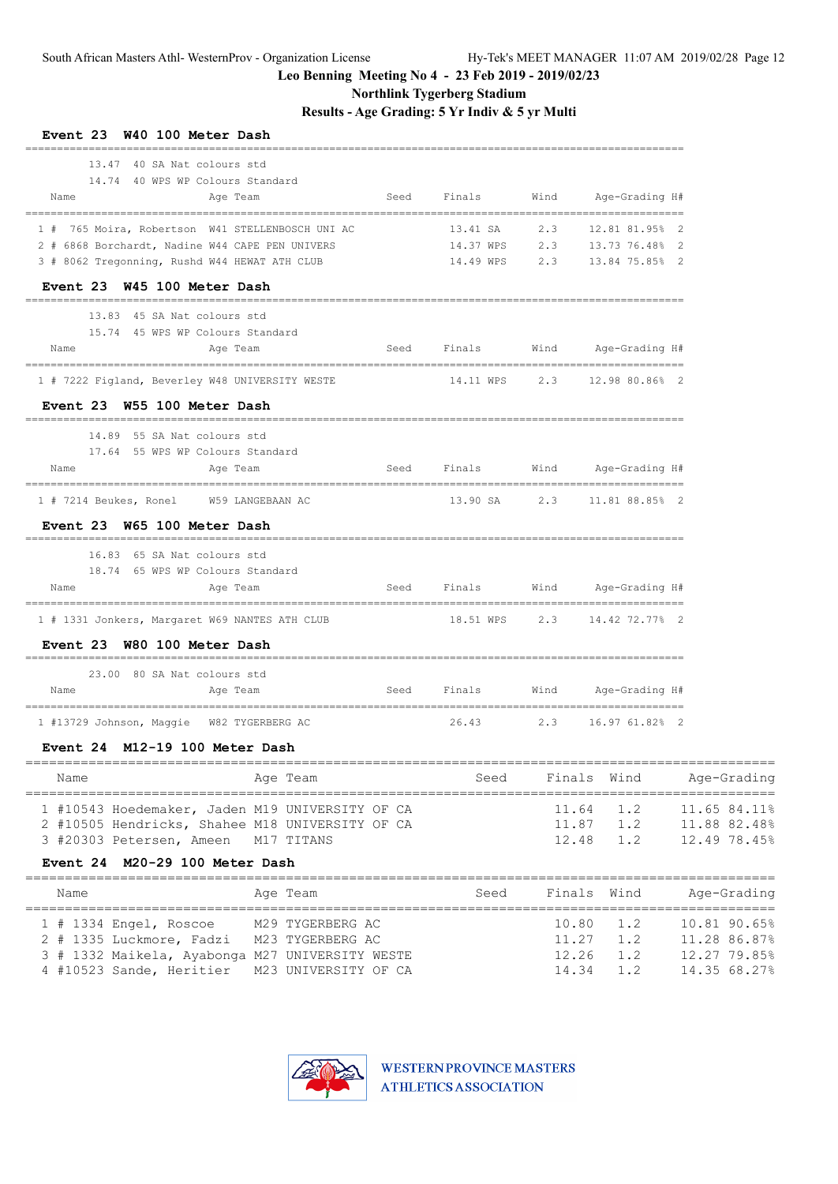**Northlink Tygerberg Stadium**

**Results - Age Grading: 5 Yr Indiv & 5 yr Multi**

| __________________________<br>13.47 40 SA Nat colours std                                          |                  |                                                  |  |
|----------------------------------------------------------------------------------------------------|------------------|--------------------------------------------------|--|
| 14.74 40 WPS WP Colours Standard                                                                   |                  |                                                  |  |
| Name<br>Age Team                                                                                   |                  | Seed Finals Wind Age-Grading H#                  |  |
| 1 # 765 Moira, Robertson W41 STELLENBOSCH UNI AC                                                   | 13.41 SA         | 2.3 12.81 81.95% 2                               |  |
| 2 # 6868 Borchardt, Nadine W44 CAPE PEN UNIVERS                                                    |                  | 14.37 WPS 2.3 13.73 76.48% 2                     |  |
| 3 # 8062 Tregonning, Rushd W44 HEWAT ATH CLUB                                                      |                  | 14.49 WPS 2.3 13.84 75.85% 2                     |  |
| Event 23 W45 100 Meter Dash                                                                        |                  |                                                  |  |
| 13.83 45 SA Nat colours std                                                                        |                  |                                                  |  |
| 15.74 45 WPS WP Colours Standard                                                                   |                  |                                                  |  |
| Name<br>Aqe Team                                                                                   | Seed Finals Wind | Age-Grading H#                                   |  |
| 1 # 7222 Figland, Beverley W48 UNIVERSITY WESTE                                                    |                  | 14.11 WPS 2.3 12.98 80.86% 2                     |  |
| Event 23 W55 100 Meter Dash                                                                        |                  |                                                  |  |
| 14.89 55 SA Nat colours std                                                                        |                  |                                                  |  |
| 17.64 55 WPS WP Colours Standard                                                                   |                  |                                                  |  |
| Name<br>Age Team                                                                                   |                  | Seed Finals Wind Age-Grading H#                  |  |
| 1 # 7214 Beukes, Ronel W59 LANGEBAAN AC                                                            |                  | 13.90 SA 2.3 11.81 88.85% 2                      |  |
| Event 23 W65 100 Meter Dash                                                                        |                  |                                                  |  |
| 16.83 65 SA Nat colours std                                                                        |                  |                                                  |  |
| 18.74 65 WPS WP Colours Standard                                                                   |                  |                                                  |  |
| Age Team<br>Name                                                                                   |                  | Seed Finals Wind Age-Grading H#                  |  |
| 1 # 1331 Jonkers, Margaret W69 NANTES ATH CLUB                                                     |                  | 18.51 WPS 2.3 14.42 72.77% 2                     |  |
| Event 23 W80 100 Meter Dash                                                                        |                  |                                                  |  |
| 23.00 80 SA Nat colours std                                                                        |                  |                                                  |  |
| Name<br>Age Team                                                                                   |                  | Seed Finals Wind Age-Grading H#                  |  |
| 1 #13729 Johnson, Maggie W82 TYGERBERG AC                                                          |                  | 26.43 2.3 16.97 61.82% 2                         |  |
| Event 24 M12-19 100 Meter Dash                                                                     |                  |                                                  |  |
|                                                                                                    |                  | Seed Finals Wind Age-Grading                     |  |
| Name<br>Age Team                                                                                   |                  |                                                  |  |
|                                                                                                    |                  |                                                  |  |
| 1 #10543 Hoedemaker, Jaden M19 UNIVERSITY OF CA<br>2 #10505 Hendricks, Shahee M18 UNIVERSITY OF CA |                  | 11.64 1.2 11.65 84.11%<br>11.87 1.2 11.88 82.48% |  |

**Event 24 M20-29 100 Meter Dash**

| Name                                            | Age Team         | Finals Wind<br>Seed | Age-Grading                       |
|-------------------------------------------------|------------------|---------------------|-----------------------------------|
| $1$ # 1334 Engel, Roscoe                        | M29 TYGERBERG AC |                     | 10.81 90.65%<br>$10.80 \quad 1.2$ |
| 2 # 1335 Luckmore, Fadzi M23 TYGERBERG AC       |                  |                     | 11.28 86.87%<br>$11.27$ 1.2       |
| 3 # 1332 Maikela, Ayabonga M27 UNIVERSITY WESTE |                  | $12.26$ $1.2$       | 12.27 79.85%                      |
| 4 #10523 Sande, Heritier M23 UNIVERSITY OF CA   |                  |                     | 14.35 68.27%<br>$14.34$ $1.2$     |

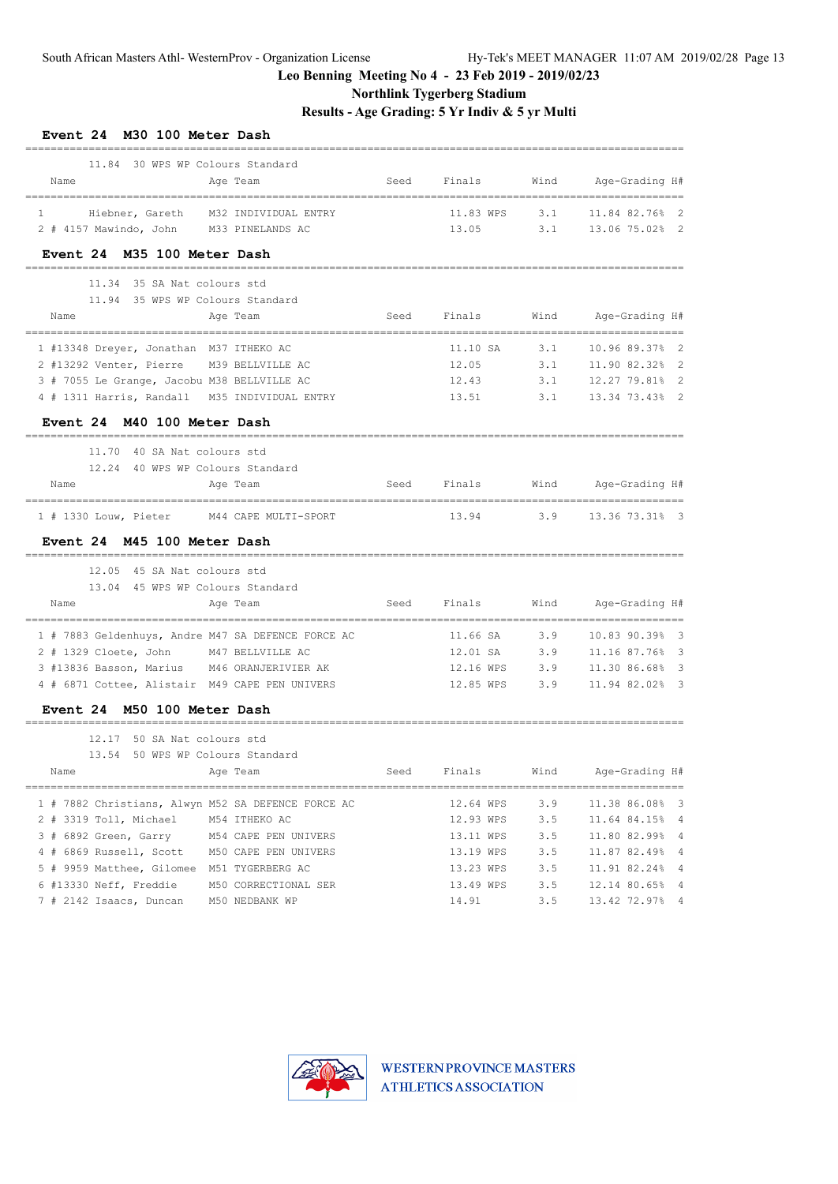**Northlink Tygerberg Stadium**

**Results - Age Grading: 5 Yr Indiv & 5 yr Multi**

| Event 24 M30 100 Meter Dash                        |                            |      |           |      |                                         |
|----------------------------------------------------|----------------------------|------|-----------|------|-----------------------------------------|
| 11.84 30 WPS WP Colours Standard                   |                            |      |           |      |                                         |
| Name                                               | Age Team                   | Seed | Finals    | Wind | Age-Grading H#<br>=============         |
| $\mathbf{1}$<br>Hiebner, Gareth                    | M32 INDIVIDUAL ENTRY       |      | 11.83 WPS | 3.1  | 11.84 82.76% 2                          |
| 2 # 4157 Mawindo, John M33 PINELANDS AC            |                            |      | 13.05     | 3.1  | 13.06 75.02% 2                          |
| Event 24 M35 100 Meter Dash                        |                            |      |           |      |                                         |
| 11.34 35 SA Nat colours std                        |                            |      |           |      |                                         |
| 11.94 35 WPS WP Colours Standard                   |                            |      |           |      |                                         |
| Name                                               | Age Team                   | Seed | Finals    | Wind | Age-Grading H#                          |
| 1 #13348 Dreyer, Jonathan M37 ITHEKO AC            |                            |      | 11.10 SA  | 3.1  | 10.96 89.37%<br>$\overline{2}$          |
| 2 #13292 Venter, Pierre M39 BELLVILLE AC           |                            |      | 12.05     | 3.1  | 11.90 82.32%<br>2                       |
| 3 # 7055 Le Grange, Jacobu M38 BELLVILLE AC        |                            |      | 12.43     | 3.1  | 12.27 79.81%<br>-2                      |
| 4 # 1311 Harris, Randall M35 INDIVIDUAL ENTRY      |                            |      | 13.51     | 3.1  | 13.34 73.43% 2                          |
| Event 24 M40 100 Meter Dash                        |                            |      |           |      |                                         |
| 40 SA Nat colours std<br>11.70                     |                            |      |           |      |                                         |
| 12.24 40 WPS WP Colours Standard                   |                            |      |           |      |                                         |
| Name                                               | Age Team                   | Seed | Finals    | Wind | Age-Grading H#                          |
| $1$ # 1330 Louw, Pieter                            | M44 CAPE MULTI-SPORT       |      | 13.94     | 3.9  | 13.36 73.31% 3                          |
| Event 24 M45 100 Meter Dash                        |                            |      |           |      |                                         |
| 12.05 45 SA Nat colours std                        |                            |      |           |      |                                         |
| 13.04 45 WPS WP Colours Standard                   |                            |      |           |      |                                         |
| Name                                               | Age Team                   | Seed | Finals    | Wind | Age-Grading H#                          |
| 1 # 7883 Geldenhuys, Andre M47 SA DEFENCE FORCE AC |                            |      | 11.66 SA  | 3.9  | 10.83 90.39%<br>$\overline{\mathbf{3}}$ |
| 2 # 1329 Cloete, John                              | M47 BELLVILLE AC           |      | 12.01 SA  | 3.9  | 11.16 87.76%<br>$\overline{\mathbf{3}}$ |
| 3 #13836 Basson, Marius M46 ORANJERIVIER AK        |                            |      | 12.16 WPS | 3.9  | 11.30 86.68%<br>- 3                     |
| 4 # 6871 Cottee, Alistair M49 CAPE PEN UNIVERS     |                            |      | 12.85 WPS | 3.9  | 11.94 82.02%<br>- 3                     |
| Event 24 M50 100 Meter Dash                        |                            |      |           |      |                                         |
| 50 SA Nat colours std<br>12.17                     |                            |      |           |      |                                         |
| 13.54                                              | 50 WPS WP Colours Standard |      |           |      |                                         |
| Name                                               | Age Team                   | Seed | Finals    | Wind | Age-Grading H#                          |
| 1 # 7882 Christians, Alwyn M52 SA DEFENCE FORCE AC |                            |      | 12.64 WPS | 3.9  | 11.38 86.08% 3                          |
| 2 # 3319 Toll, Michael                             | M54 ITHEKO AC              |      | 12.93 WPS | 3.5  | 11.64 84.15% 4                          |
| 3 # 6892 Green, Garry                              | M54 CAPE PEN UNIVERS       |      | 13.11 WPS | 3.5  | 11.80 82.99% 4                          |
| 4 # 6869 Russell, Scott                            | M50 CAPE PEN UNIVERS       |      | 13.19 WPS | 3.5  | 11.87 82.49% 4                          |
| 5 # 9959 Matthee, Gilomee M51 TYGERBERG AC         |                            |      | 13.23 WPS | 3.5  | 11.91 82.24% 4                          |
| 6 #13330 Neff, Freddie                             | M50 CORRECTIONAL SER       |      | 13.49 WPS | 3.5  | 12.14 80.65% 4                          |
| 7 # 2142 Isaacs, Duncan                            | M50 NEDBANK WP             |      | 14.91     | 3.5  | 13.42 72.97% 4                          |

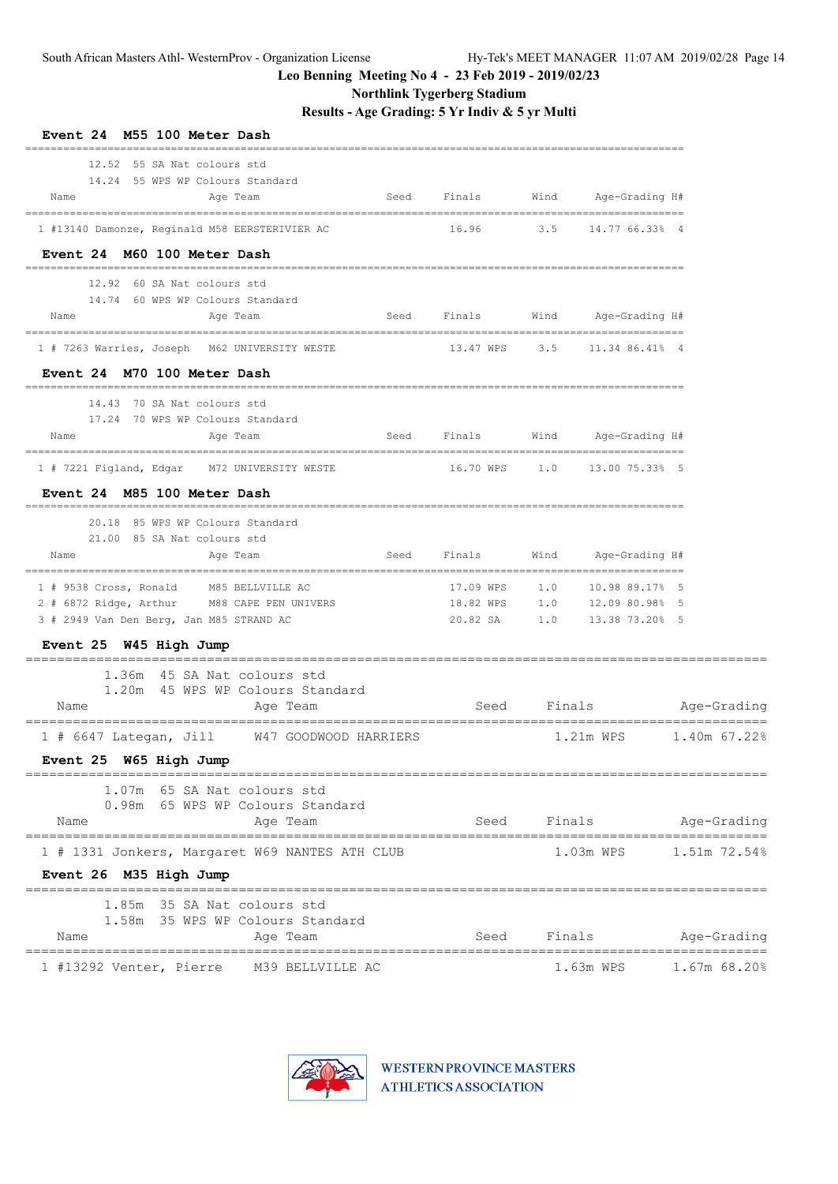**Northlink Tygerberg Stadium**

**Results - Age Grading: 5 Yr Indiv & 5 yr Multi**

| Event 24 M55 100 Meter Dash<br>12.52 55 SA Nat colours std                              |                              |      |                                      |                        |
|-----------------------------------------------------------------------------------------|------------------------------|------|--------------------------------------|------------------------|
| 14.24 55 WPS WP Colours Standard<br>Name<br>Age Team<br>Seed                            | Finals                       | Wind | Age-Grading H#                       |                        |
| 1 #13140 Damonze, Reginald M58 EERSTERIVIER AC                                          | 16.96                        | 3.5  | 14.77 66.33% 4                       |                        |
| Event 24 M60 100 Meter Dash                                                             |                              |      |                                      |                        |
| 12.92 60 SA Nat colours std                                                             |                              |      |                                      |                        |
| 14.74 60 WPS WP Colours Standard<br>Seed<br>Name<br>Age Team                            | Finals                       | Wind | Age-Grading H#                       |                        |
| 1 # 7263 Warries, Joseph M62 UNIVERSITY WESTE                                           | 13.47 WPS                    |      | 3.5 11.34 86.41% 4                   |                        |
| Event 24 M70 100 Meter Dash                                                             |                              |      |                                      |                        |
| 14.43 70 SA Nat colours std                                                             |                              |      |                                      |                        |
| 17.24 70 WPS WP Colours Standard<br>Name<br>Seed<br>Age Team                            | Finals                       |      | Wind Age-Grading H#                  |                        |
| 1 # 7221 Figland, Edgar M72 UNIVERSITY WESTE                                            | 16.70 WPS 1.0 13.00 75.33% 5 |      |                                      |                        |
| Event 24 M85 100 Meter Dash                                                             |                              |      |                                      |                        |
| 20.18 85 WPS WP Colours Standard<br>21.00 85 SA Nat colours std                         |                              |      |                                      |                        |
| Name<br>Seed<br>Age Team                                                                | Finals                       |      | Wind Age-Grading H#                  |                        |
| 1 # 9538 Cross, Ronald M85 BELLVILLE AC                                                 |                              |      | ----------------------               |                        |
| 2 # 6872 Ridge, Arthur M88 CAPE PEN UNIVERS<br>3 # 2949 Van Den Berg, Jan M85 STRAND AC | 20.82 SA                     |      | 1.0 13.38 73.20% 5                   |                        |
| Event 25 W45 High Jump                                                                  |                              |      |                                      |                        |
| 1.36m 45 SA Nat colours std                                                             |                              |      |                                      |                        |
| 1.20m 45 WPS WP Colours Standard<br>Name<br>Age Team                                    | Seed                         |      |                                      | Finals Age-Grading     |
| 1 # 6647 Lategan, Jill W47 GOODWOOD HARRIERS                                            |                              |      |                                      | 1.21m WPS 1.40m 67.22% |
| Event 25 W65 High Jump                                                                  |                              |      |                                      |                        |
| 1.07m 65 SA Nat colours std                                                             |                              |      |                                      |                        |
| 0.98m 65 WPS WP Colours Standard<br>Name<br>Age Team                                    |                              |      | Seed Finals                          | Age-Grading            |
| =====================================<br>1 # 1331 Jonkers, Margaret W69 NANTES ATH CLUB |                              |      | $1.03m$ WPS                          | 1.51m 72.54%           |
| Event 26 M35 High Jump                                                                  |                              |      |                                      |                        |
| 1.85m 35 SA Nat colours std                                                             |                              |      |                                      |                        |
| 1.58m 35 WPS WP Colours Standard<br>Name<br>Age Team                                    | Seed                         |      | Finals                               | Age-Grading            |
| 1 #13292 Venter, Pierre M39 BELLVILLE AC                                                |                              |      | =======================<br>1.63m WPS | 1.67m 68.20%           |

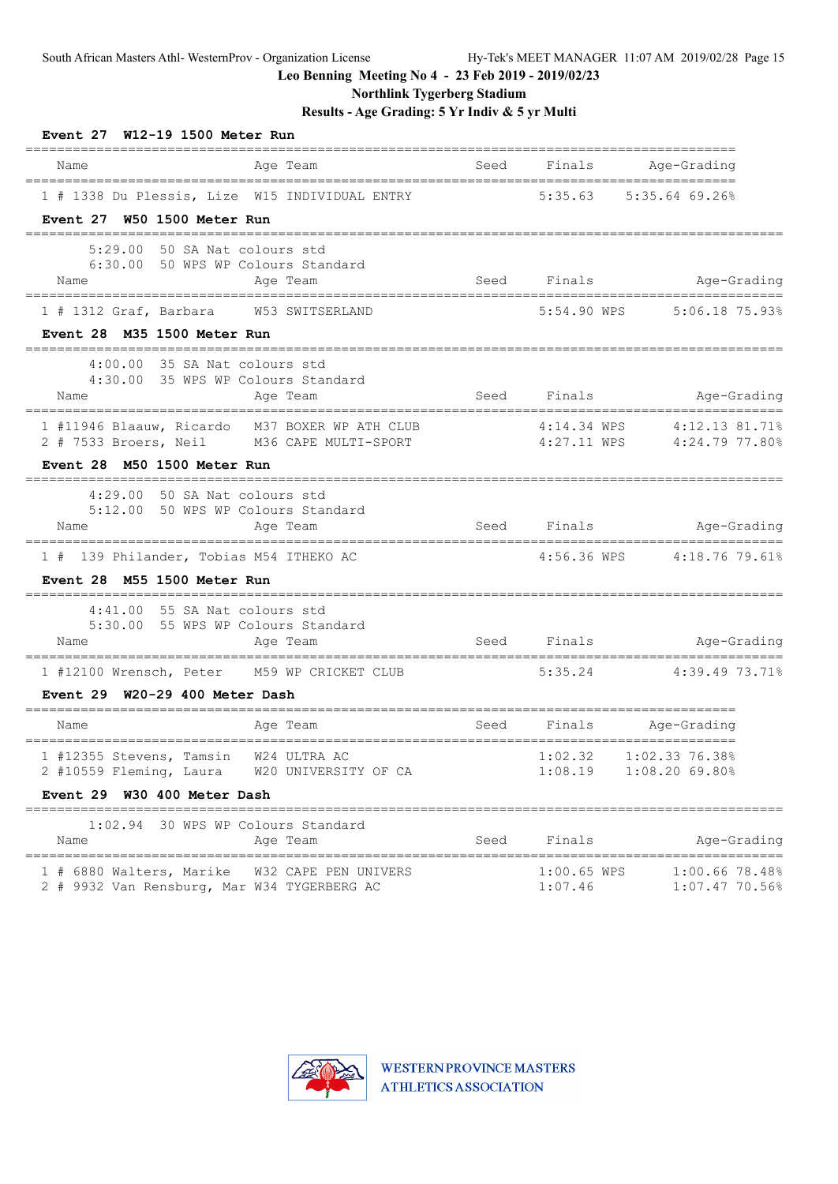**Northlink Tygerberg Stadium**

| Event 27 W12-19 1500 Meter Run                                                                                          |                                      |              |                          |                                                                |
|-------------------------------------------------------------------------------------------------------------------------|--------------------------------------|--------------|--------------------------|----------------------------------------------------------------|
| Name                                                                                                                    | Age Team                             | Seed         | Finals                   | Age-Grading                                                    |
| 1 # 1338 Du Plessis, Lize W15 INDIVIDUAL ENTRY<br>Event 27 W50 1500 Meter Run                                           |                                      |              |                          | 5:35.63 5:35.64 69.26%                                         |
| 5:29.00 50 SA Nat colours std<br>6:30.00 50 WPS WP Colours Standard<br>Name                                             | Age Team                             |              | Seed Finals              | Age-Grading                                                    |
| 1 # 1312 Graf, Barbara W53 SWITSERLAND<br>Event 28 M35 1500 Meter Run                                                   |                                      |              | 5:54.90 WPS              | 5:06.18 75.93%                                                 |
| 4:00.00 35 SA Nat colours std<br>4:30.00 35 WPS WP Colours Standard<br>Name                                             | Age Team                             |              | Seed Finals              | Age-Grading                                                    |
| 1 #11946 Blaauw, Ricardo M37 BOXER WP ATH CLUB<br>2 # 7533 Broers, Neil M36 CAPE MULTI-SPORT                            |                                      |              | $4:14.34$ WPS            | 4:12.13 81.71%<br>4:27.11 WPS 4:24.79 77.80%                   |
| Event 28 M50 1500 Meter Run                                                                                             |                                      |              |                          |                                                                |
| 4:29.00 50 SA Nat colours std<br>5:12.00 50 WPS WP Colours Standard<br>Name                                             | Age Team                             |              | Seed Finals              | Age-Grading                                                    |
| =================================<br>1 # 139 Philander, Tobias M54 ITHEKO AC<br>Event 28 M55 1500 Meter Run             | ================================     |              |                          | ======================<br>4:56.36 WPS  4:18.76 79.61%          |
| ======================================<br>$4:41.00$ 55 SA Nat colours std<br>5:30.00 55 WPS WP Colours Standard<br>Name | Age Team                             |              | Seed Finals and Seed     | Age-Grading                                                    |
| 1 #12100 Wrensch, Peter M59 WP CRICKET CLUB<br>Event $29$ W20-29 400 Meter Dash                                         |                                      | ============ |                          | $5:35.24$ $4:39.49$ 73.71%                                     |
| Name                                                                                                                    | Age Team                             | Seed         | Finals                   | ________________________<br>Age-Grading                        |
| 1 #12355 Stevens, Tamsin<br>2 #10559 Fleming, Laura<br>Event 29 W30 400 Meter Dash                                      | W24 ULTRA AC<br>W20 UNIVERSITY OF CA |              | 1:02.32                  | ================<br>$1:02.33$ 76.38%<br>1:08.19 1:08.20 69.80% |
| ========<br>1:02.94 30 WPS WP Colours Standard<br>Name                                                                  | Age Team                             | Seed         | Finals                   | Age-Grading                                                    |
| 1 # 6880 Walters, Marike W32 CAPE PEN UNIVERS<br>2 # 9932 Van Rensburg, Mar W34 TYGERBERG AC                            |                                      |              | $1:00.65$ WPS<br>1:07.46 | 1:00.6678.48%<br>1:07.47 70.56%                                |

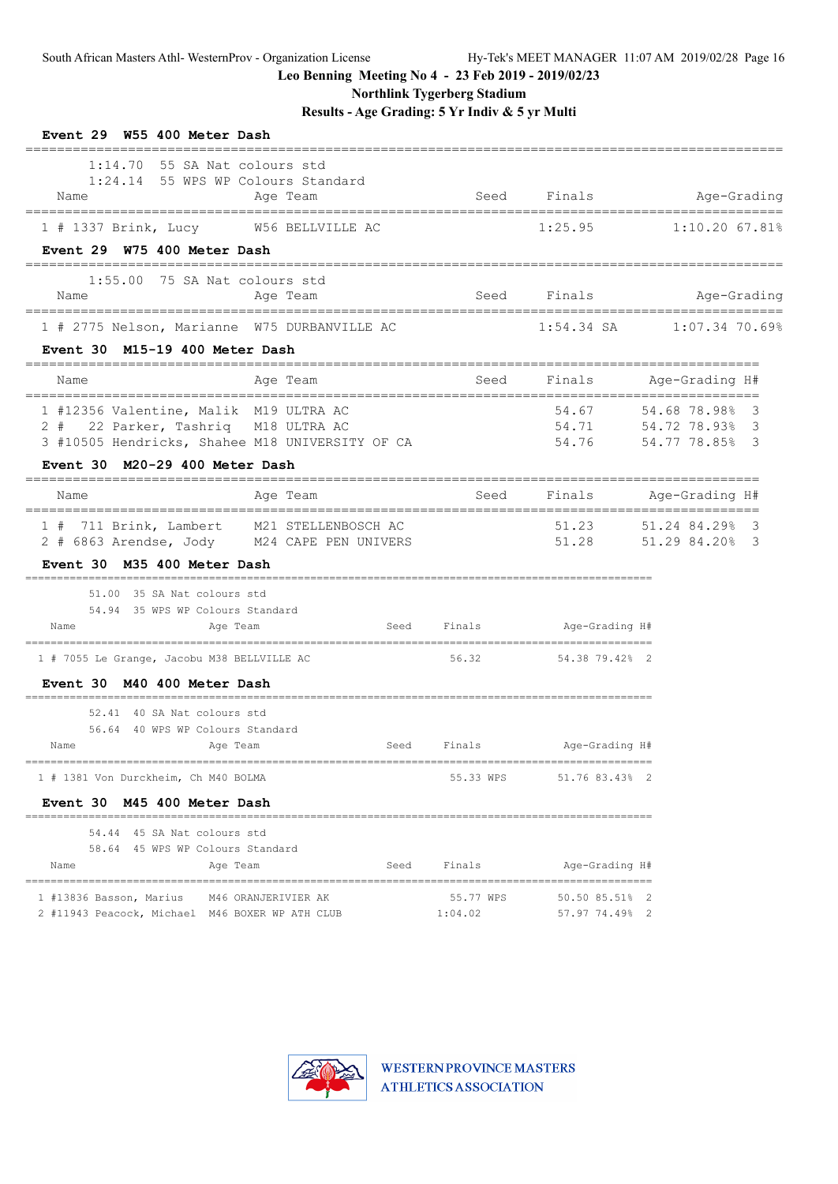**Northlink Tygerberg Stadium**

| Event 29 W55 400 Meter Dash                                                                                        |                                                                                           |             |                                             |                                                                |
|--------------------------------------------------------------------------------------------------------------------|-------------------------------------------------------------------------------------------|-------------|---------------------------------------------|----------------------------------------------------------------|
| $1:14.70$ 55 SA Nat colours std<br>Name<br>-------------------------------------                                   | 1:24.14 55 WPS WP Colours Standard<br>Age Team                                            |             |                                             | Seed Finals Age-Grading                                        |
| 1 # 1337 Brink, Lucy W56 BELLVILLE AC<br>Event 29 W75 400 Meter Dash                                               |                                                                                           |             | 1:25.95                                     | $1:10.20$ 67.81%                                               |
| $1:55.00$ 75 SA Nat colours std<br>Name                                                                            | Age Team                                                                                  |             | Seed Finals                                 | Age-Grading                                                    |
| 1 # 2775 Nelson, Marianne W75 DURBANVILLE AC<br>Event 30 M15-19 400 Meter Dash                                     |                                                                                           |             |                                             |                                                                |
| Name                                                                                                               | Age Team                                                                                  | Seed        |                                             | Finals Age-Grading H#                                          |
| 1 #12356 Valentine, Malik M19 ULTRA AC<br>2 #<br>22 Parker, Tashriq M18 ULTRA AC<br>Event 30 M20-29 400 Meter Dash | 3 #10505 Hendricks, Shahee M18 UNIVERSITY OF CA                                           |             | 54.67                                       | 54.68 78.98% 3<br>54.71 54.72 78.93% 3<br>54.76 54.77 78.85% 3 |
| Name                                                                                                               | Age Team                                                                                  | Seed        | Finals                                      | Age-Grading H#                                                 |
|                                                                                                                    | 1 # 711 Brink, Lambert M21 STELLENBOSCH AC<br>2 # 6863 Arendse, Jody M24 CAPE PEN UNIVERS |             | 51.23                                       | 51.24 84.29%<br>3<br>51.28 51.29 84.20% 3                      |
| Event 30 M35 400 Meter Dash<br>51.00 35 SA Nat colours std<br>54.94 35 WPS WP Colours Standard<br>Name             | Age Team                                                                                  | Seed Finals | Age-Grading H#                              |                                                                |
| 1 # 7055 Le Grange, Jacobu M38 BELLVILLE AC<br>Event 30 M40 400 Meter Dash                                         |                                                                                           | 56.32       | 54.38 79.42% 2                              |                                                                |
| 52.41 40 SA Nat colours std<br>56.64 40 WPS WP Colours Standard<br>Name                                            | Age Team                                                                                  | Seed Finals | Age-Grading H#                              |                                                                |
| 1 # 1381 Von Durckheim, Ch M40 BOLMA                                                                               |                                                                                           |             | 55.33 WPS 51.76 83.43% 2                    |                                                                |
| Event 30 M45 400 Meter Dash                                                                                        |                                                                                           |             |                                             |                                                                |
| 54.44 45 SA Nat colours std<br>58.64 45 WPS WP Colours Standard<br>Name                                            | Age Team<br>Seed                                                                          | Finals      | Age-Grading H#                              |                                                                |
| 1 #13836 Basson, Marius M46 ORANJERIVIER AK                                                                        | 2 #11943 Peacock, Michael M46 BOXER WP ATH CLUB 1:04.02                                   |             | 55.77 WPS 50.50 85.51% 2<br>$57.9774.49%$ 2 |                                                                |

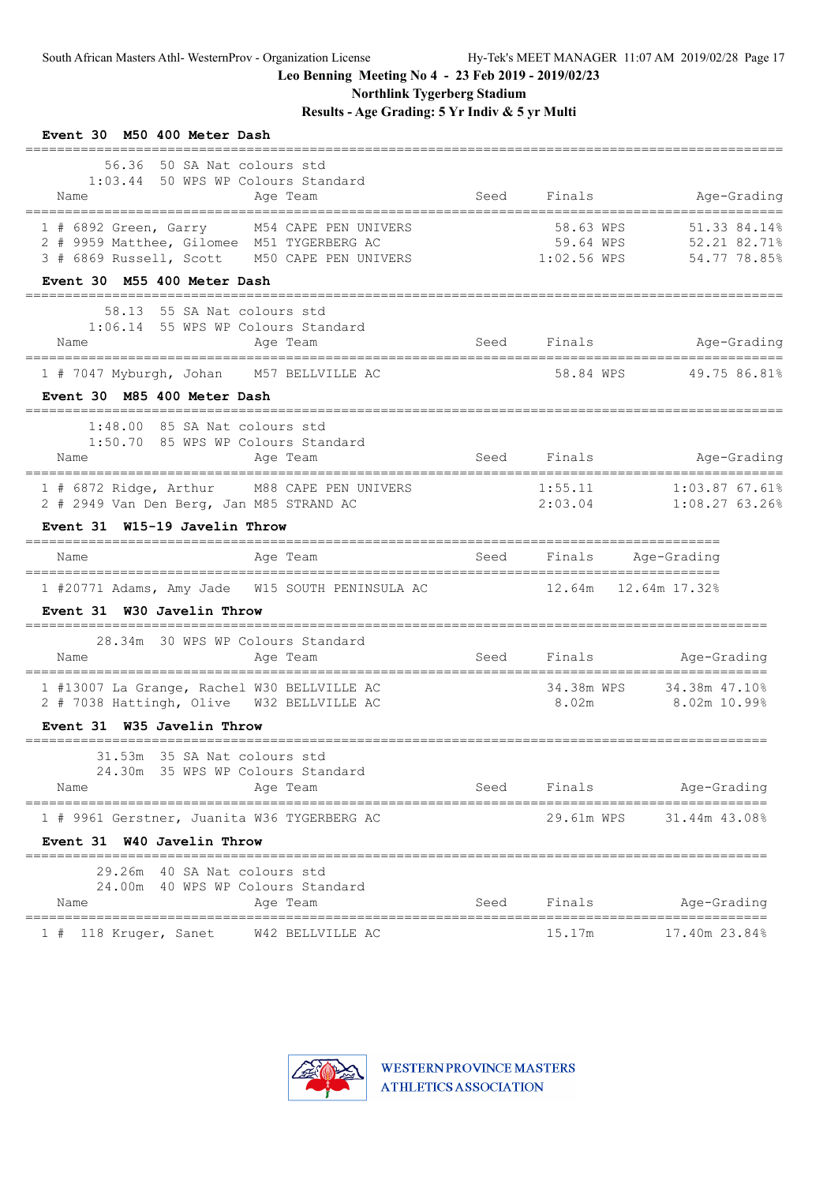**Northlink Tygerberg Stadium**

| Event 30 M50 400 Meter Dash<br>--------------                                                                                            |      |                                       |                                                                     |
|------------------------------------------------------------------------------------------------------------------------------------------|------|---------------------------------------|---------------------------------------------------------------------|
| 56.36 50 SA Nat colours std<br>1:03.44 50 WPS WP Colours Standard<br>Name<br>Age Team                                                    | Seed | Finals                                | Age-Grading                                                         |
| 1 # 6892 Green, Garry M54 CAPE PEN UNIVERS<br>2 # 9959 Matthee, Gilomee M51 TYGERBERG AC<br>3 # 6869 Russell, Scott M50 CAPE PEN UNIVERS |      | 58.63 WPS<br>59.64 WPS<br>1:02.56 WPS | 51.33 84.14%<br>52.21 82.71%<br>54.77 78.85%                        |
| Event 30 M55 400 Meter Dash                                                                                                              |      |                                       |                                                                     |
| 58.13 55 SA Nat colours std<br>1:06.14 55 WPS WP Colours Standard<br>Age Team<br>Name                                                    |      | Seed Finals                           | Age-Grading                                                         |
| 1 # 7047 Myburgh, Johan M57 BELLVILLE AC                                                                                                 |      |                                       | 58.84 WPS 49.75 86.81%                                              |
| Event 30 M85 400 Meter Dash                                                                                                              |      |                                       |                                                                     |
| $1:48.00$ 85 SA Nat colours std<br>1:50.70 85 WPS WP Colours Standard<br>Age Team<br>Name                                                |      | Seed Finals                           | Age-Grading                                                         |
| 1 # 6872 Ridge, Arthur M88 CAPE PEN UNIVERS<br>2 # 2949 Van Den Berg, Jan M85 STRAND AC<br>Event 31 W15-19 Javelin Throw                 |      | 1:55.11<br>2:03.04                    | =============================<br>$1:03.87$ 67.61%<br>1:08.27 63.26% |
| Age Team<br>Name                                                                                                                         | Seed | Finals Age-Grading                    |                                                                     |
| 1 #20771 Adams, Amy Jade W15 SOUTH PENINSULA AC<br>Event 31 W30 Javelin Throw                                                            |      | 12.64m 12.64m 17.32%                  |                                                                     |
| 28.34m 30 WPS WP Colours Standard                                                                                                        |      |                                       |                                                                     |
| Name<br>Age Team                                                                                                                         |      |                                       | Seed Finals Age-Grading                                             |
| 1 #13007 La Grange, Rachel W30 BELLVILLE AC<br>2 # 7038 Hattingh, Olive W32 BELLVILLE AC                                                 |      | 8.02m                                 | 34.38m WPS 34.38m 47.10%<br>$8.02m$ 10.99%                          |
| Event 31 W35 Javelin Throw                                                                                                               |      |                                       |                                                                     |
| 31.53m 35 SA Nat colours std<br>24.30m 35 WPS WP Colours Standard<br>Name<br>Age Team                                                    |      | Seed Finals                           | Age-Grading                                                         |
| 1 # 9961 Gerstner, Juanita W36 TYGERBERG AC                                                                                              |      | 29.61m WPS                            | 31.44m 43.08%                                                       |
| Event 31 W40 Javelin Throw                                                                                                               |      |                                       |                                                                     |
| 29.26m 40 SA Nat colours std<br>24.00m 40 WPS WP Colours Standard<br>Name<br>Age Team                                                    | Seed | Finals                                | Age-Grading                                                         |
| W42 BELLVILLE AC<br>1 # 118 Kruger, Sanet                                                                                                |      | 15.17m                                | 17.40m 23.84%                                                       |

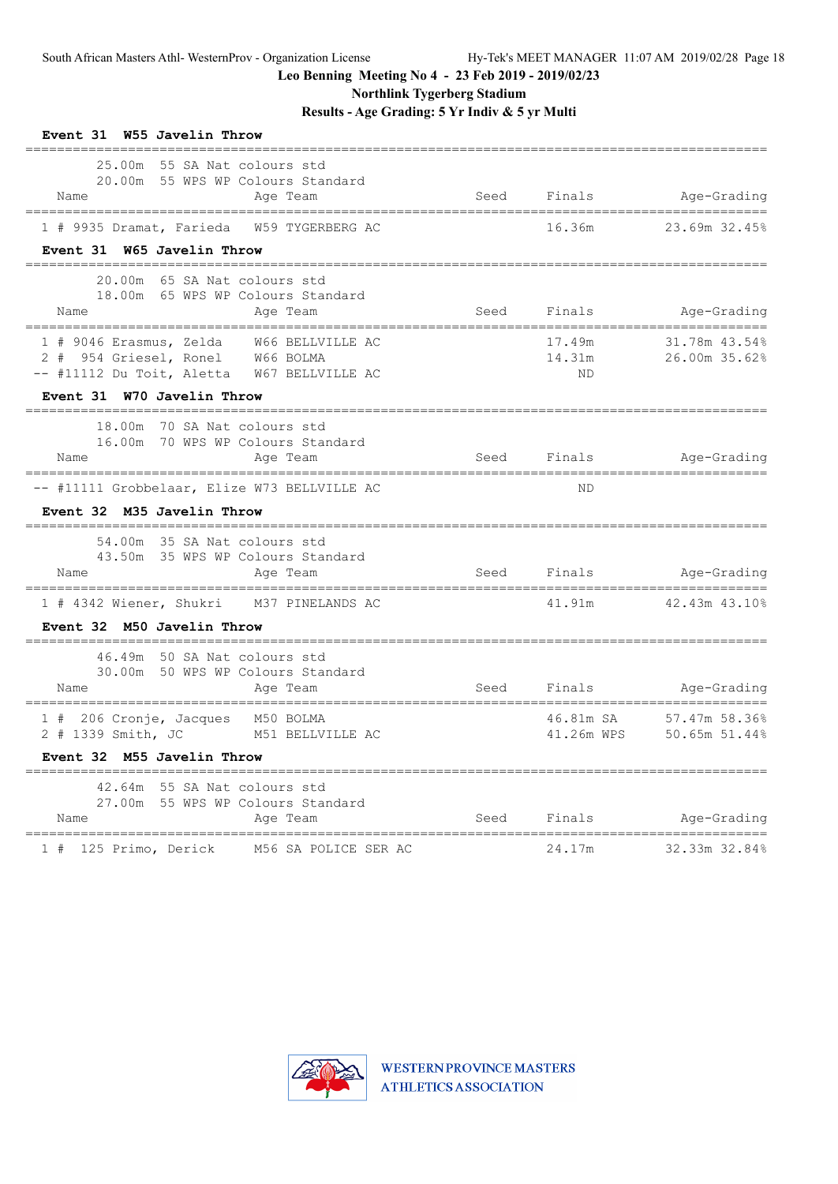**Northlink Tygerberg Stadium**

| Event 31 W55 Javelin Throw                                                                                                                                         |                        |                                               |
|--------------------------------------------------------------------------------------------------------------------------------------------------------------------|------------------------|-----------------------------------------------|
| 25.00m 55 SA Nat colours std<br>20.00m 55 WPS WP Colours Standard<br>Name<br>Age Team<br>====================================<br>_________________________________ |                        | Seed Finals Age-Grading<br>================== |
| 1 # 9935 Dramat, Farieda W59 TYGERBERG AC<br>Event 31 W65 Javelin Throw                                                                                            | 16.36m                 | 23.69m 32.45%                                 |
| 20.00m 65 SA Nat colours std<br>18.00m 65 WPS WP Colours Standard<br>Name<br>Age Team                                                                              |                        | Seed Finals Age-Grading                       |
| 1 # 9046 Erasmus, Zelda W66 BELLVILLE AC<br>2 # 954 Griesel, Ronel W66 BOLMA<br>-- #11112 Du Toit, Aletta W67 BELLVILLE AC                                         | 17.49m<br>14.31m<br>ND | 31.78m 43.54%<br>26.00m 35.62%                |
| Event 31 W70 Javelin Throw                                                                                                                                         |                        |                                               |
| 18.00m 70 SA Nat colours std<br>16.00m 70 WPS WP Colours Standard<br>Age Team<br>Name                                                                              | Seed Finals            | Age-Grading                                   |
| -- #11111 Grobbelaar, Elize W73 BELLVILLE AC<br>Event 32 M35 Javelin Throw                                                                                         | ND                     | ===================                           |
| 54.00m 35 SA Nat colours std<br>43.50m 35 WPS WP Colours Standard<br>Name<br>Aqe Team                                                                              | Seed Finals            | Age-Grading                                   |
| 1 # 4342 Wiener, Shukri M37 PINELANDS AC<br>Event 32 M50 Javelin Throw                                                                                             |                        | 41.91m 42.43m 43.10%                          |
| __________<br>46.49m 50 SA Nat colours std<br>30.00m 50 WPS WP Colours Standard<br>Name<br>Age Team                                                                | Seed Finals            | Age-Grading                                   |
| 1 # 206 Cronje, Jacques M50 BOLMA<br>2 # 1339 Smith, JC M51 BELLVILLE AC<br>Event 32 M55 Javelin Throw                                                             | 46.81m SA              | 57.47m 58.36%<br>41.26m WPS 50.65m 51.44%     |
| 42.64m 55 SA Nat colours std<br>27.00m 55 WPS WP Colours Standard<br>Name<br>Age Team                                                                              | Seed Finals            | Age-Grading                                   |
| ======================================<br>1 # 125 Primo, Derick M56 SA POLICE SER AC                                                                               | 24.17m                 | 32.33m 32.84%                                 |

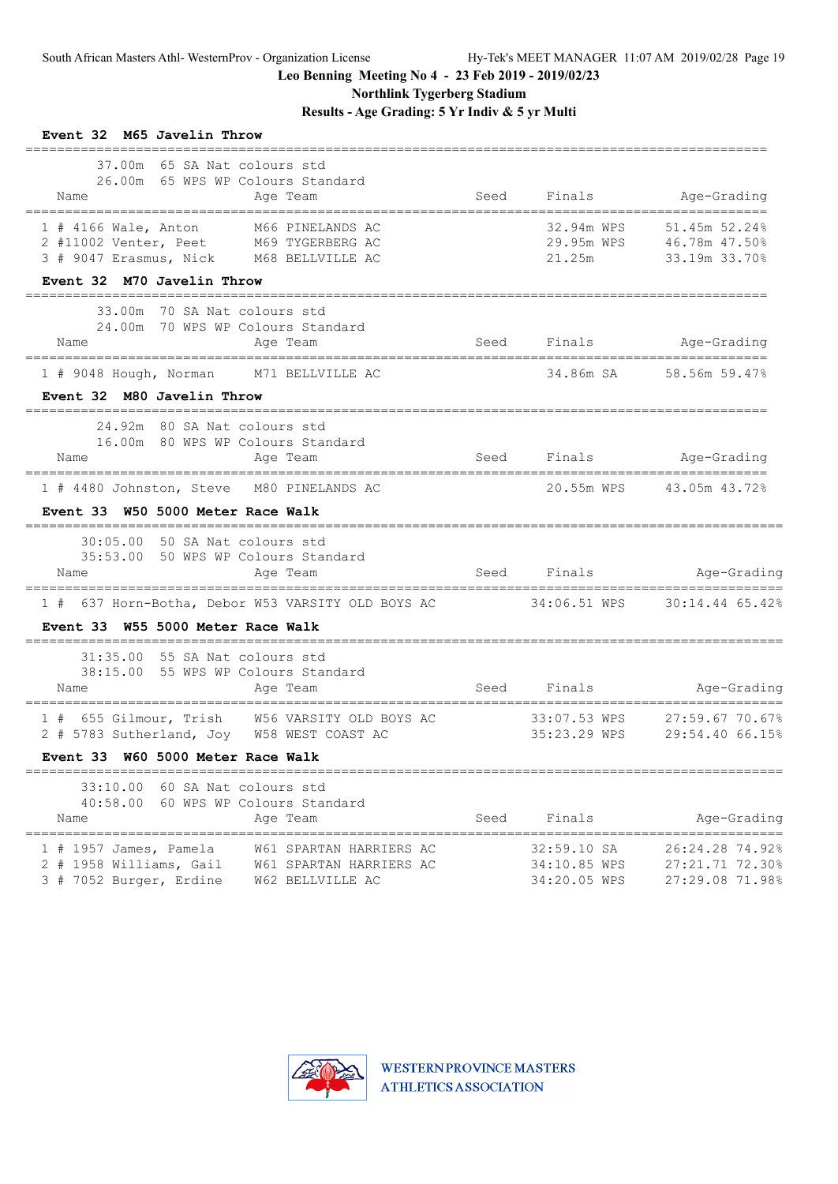**Northlink Tygerberg Stadium**

| Event 32 M65 Javelin Throw<br>===========================                                                                                                |      |                                             |                                                                       |
|----------------------------------------------------------------------------------------------------------------------------------------------------------|------|---------------------------------------------|-----------------------------------------------------------------------|
| 37.00m 65 SA Nat colours std<br>26.00m 65 WPS WP Colours Standard<br>Age Team<br>Name                                                                    | Seed | Finals                                      | Age-Grading                                                           |
| 1 # 4166 Wale, Anton M66 PINELANDS AC<br>2 #11002 Venter, Peet M69 TYGERBERG AC<br>3 # 9047 Erasmus, Nick M68 BELLVILLE AC                               |      | 21.25m                                      | 32.94m WPS 51.45m 52.24%<br>29.95m WPS 46.78m 47.50%<br>33.19m 33.70% |
| Event 32 M70 Javelin Throw                                                                                                                               |      |                                             |                                                                       |
| 33.00m 70 SA Nat colours std<br>24.00m 70 WPS WP Colours Standard<br>Age Team<br>Name                                                                    |      |                                             | Seed Finals Age-Grading                                               |
| 1 # 9048 Hough, Norman M71 BELLVILLE AC                                                                                                                  |      | 34.86m SA                                   | 58.56m 59.47%                                                         |
| Event 32 M80 Javelin Throw                                                                                                                               |      |                                             |                                                                       |
| 24.92m 80 SA Nat colours std<br>16.00m 80 WPS WP Colours Standard<br>Age Team<br>Name                                                                    |      |                                             | Seed Finals Age-Grading                                               |
| 1 # 4480 Johnston, Steve M80 PINELANDS AC<br>Event 33 W50 5000 Meter Race Walk                                                                           |      |                                             | 20.55m WPS 43.05m 43.72%                                              |
| 30:05.00 50 SA Nat colours std<br>35:53.00 50 WPS WP Colours Standard<br>Name<br>Age Team                                                                |      | Seed Finals                                 | Age-Grading                                                           |
| 1 # 637 Horn-Botha, Debor W53 VARSITY OLD BOYS AC 34:06.51 WPS 30:14.44 65.42%                                                                           |      |                                             |                                                                       |
| Event 33 W55 5000 Meter Race Walk                                                                                                                        |      |                                             |                                                                       |
| $31:35.00$ 55 SA Nat colours std<br>38:15.00 55 WPS WP Colours Standard<br>Name<br>Age Team                                                              |      | Seed Finals                                 | Age-Grading                                                           |
| 1 # 655 Gilmour, Trish W56 VARSITY OLD BOYS AC<br>2 # 5783 Sutherland, Joy W58 WEST COAST AC<br>Event 33 W60 5000 Meter Race Walk                        |      | 35:23.29 WPS                                | 33:07.53 WPS 27:59.67 70.67%<br>29:54.40 66.15%                       |
| 33:10.00 60 SA Nat colours std                                                                                                                           |      |                                             |                                                                       |
| 40:58.00 60 WPS WP Colours Standard<br>Age Team<br>Name                                                                                                  | Seed | Finals                                      | Age-Grading                                                           |
| $1$ # 1957 James, Pamela<br>W61 SPARTAN HARRIERS AC<br>2 # 1958 Williams, Gail<br>W61 SPARTAN HARRIERS AC<br>3 # 7052 Burger, Erdine<br>W62 BELLVILLE AC |      | 32:59.10 SA<br>34:10.85 WPS<br>34:20.05 WPS | 26:24.28 74.92%<br>27:21.71 72.30%<br>27:29.08 71.98%                 |

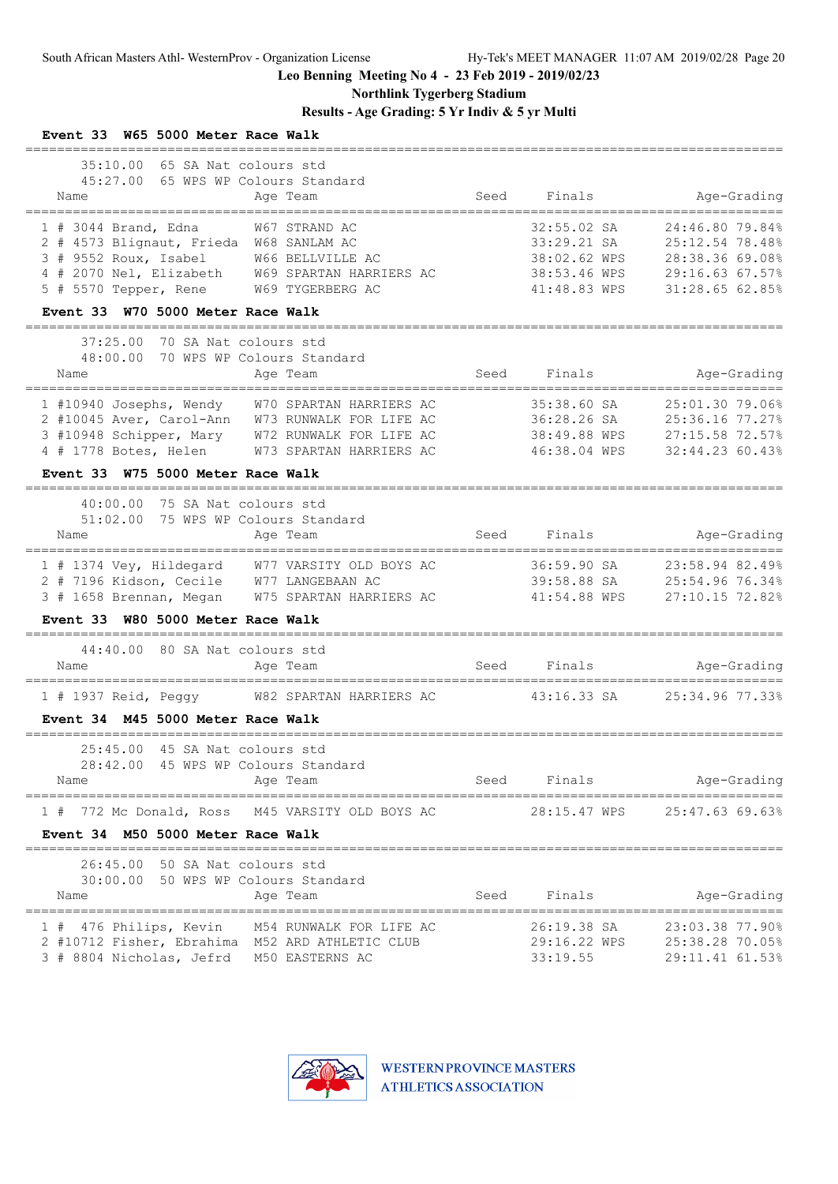**Northlink Tygerberg Stadium**

**Results - Age Grading: 5 Yr Indiv & 5 yr Multi**

| Event 33 W65 5000 Meter Race Walk                                                                                                                                                                                               |      |                                                                            |                                                                                             |
|---------------------------------------------------------------------------------------------------------------------------------------------------------------------------------------------------------------------------------|------|----------------------------------------------------------------------------|---------------------------------------------------------------------------------------------|
| 35:10.00 65 SA Nat colours std<br>45:27.00 65 WPS WP Colours Standard<br>Age Team<br>Name                                                                                                                                       | Seed | Finals<br>------------------------------                                   | Age-Grading<br>================                                                             |
| 1 # 3044 Brand, Edna<br>W67 STRAND AC<br>2 # 4573 Blignaut, Frieda W68 SANLAM AC<br>3 # 9552 Roux, Isabel<br>W66 BELLVILLE AC<br>4 # 2070 Nel, Elizabeth W69 SPARTAN HARRIERS AC<br>$5$ # 5570 Tepper, Rene<br>W69 TYGERBERG AC |      | 32:55.02 SA<br>33:29.21 SA<br>38:02.62 WPS<br>38:53.46 WPS<br>41:48.83 WPS | 24:46.80 79.84%<br>25:12.54 78.48%<br>28:38.36 69.08%<br>29:16.63 67.57%<br>31:28.65 62.85% |
| Event 33 W70 5000 Meter Race Walk                                                                                                                                                                                               |      |                                                                            |                                                                                             |
| 37:25.00 70 SA Nat colours std<br>70 WPS WP Colours Standard<br>48:00.00<br>Name<br>Age Team<br>__________________________________                                                                                              |      | Seed Finals                                                                | Age-Grading                                                                                 |
| 1 #10940 Josephs, Wendy W70 SPARTAN HARRIERS AC<br>2 #10045 Aver, Carol-Ann W73 RUNWALK FOR LIFE AC<br>3 #10948 Schipper, Mary W72 RUNWALK FOR LIFE AC<br>4 # 1778 Botes, Helen W73 SPARTAN HARRIERS AC                         |      | 35:38.60 SA<br>36:28.26 SA<br>38:49.88 WPS<br>46:38.04 WPS                 | 25:01.30 79.06%<br>25:36.16 77.27%<br>27:15.58 72.57%<br>32:44.23 60.43%                    |
| Event 33 W75 5000 Meter Race Walk                                                                                                                                                                                               |      |                                                                            |                                                                                             |
| 40:00.00 75 SA Nat colours std<br>51:02.00 75 WPS WP Colours Standard<br>Age Team<br>Name                                                                                                                                       | Seed | Finals                                                                     | Age-Grading                                                                                 |
| 1 # 1374 Vey, Hildegard W77 VARSITY OLD BOYS AC<br>2 # 7196 Kidson, Cecile W77 LANGEBAAN AC<br>3 # 1658 Brennan, Megan W75 SPARTAN HARRIERS AC                                                                                  |      | 36:59.90 SA<br>39:58.88 SA<br>41:54.88 WPS                                 | 23:58.94 82.49%<br>25:54.96 76.34%<br>27:10.15 72.82%                                       |
| Event 33 W80 5000 Meter Race Walk                                                                                                                                                                                               |      |                                                                            |                                                                                             |
| 44:40.00 80 SA Nat colours std<br>Name<br>Age Team                                                                                                                                                                              | Seed | Finals                                                                     | Age-Grading                                                                                 |
| 1 # 1937 Reid, Peggy W82 SPARTAN HARRIERS AC<br>Event 34 M45 5000 Meter Race Walk                                                                                                                                               |      | 43:16.33 SA                                                                | 25:34.96 77.33%                                                                             |
|                                                                                                                                                                                                                                 |      |                                                                            |                                                                                             |
| 25:45.00 45 SA Nat colours std<br>28:42.00 45 WPS WP Colours Standard<br>Age Team<br>Name                                                                                                                                       | Seed | Finals                                                                     | Age-Grading                                                                                 |
| 1 # 772 Mc Donald, Ross M45 VARSITY OLD BOYS AC<br>Event 34 M50 5000 Meter Race Walk                                                                                                                                            |      | 28:15.47 WPS                                                               | 25:47.63 69.63%                                                                             |
| 26:45.00 50 SA Nat colours std<br>30:00.00 50 WPS WP Colours Standard<br>Age Team<br>Name                                                                                                                                       | Seed | Finals                                                                     | Age-Grading                                                                                 |
| 1 # 476 Philips, Kevin M54 RUNWALK FOR LIFE AC<br>2 #10712 Fisher, Ebrahima M52 ARD ATHLETIC CLUB<br>3 # 8804 Nicholas, Jefrd M50 EASTERNS AC                                                                                   |      | 26:19.38 SA<br>29:16.22 WPS<br>33:19.55                                    | 23:03.38 77.90%<br>25:38.28 70.05%<br>29:11.41 61.53%                                       |

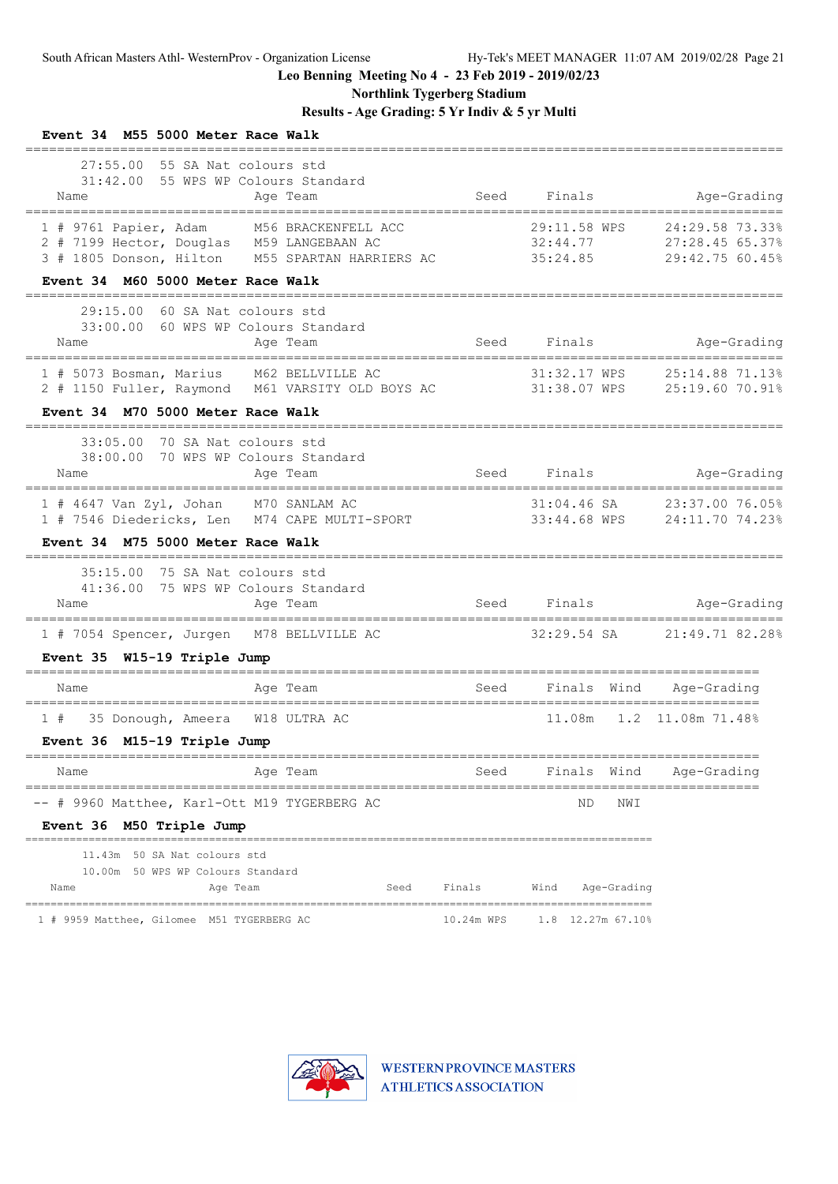**Northlink Tygerberg Stadium**

| Event 34 M55 5000 Meter Race Walk                                                                                                                                                   |            |                                      |                                                       |
|-------------------------------------------------------------------------------------------------------------------------------------------------------------------------------------|------------|--------------------------------------|-------------------------------------------------------|
| 27:55.00 55 SA Nat colours std<br>31:42.00 55 WPS WP Colours Standard<br>Name<br>Age Team                                                                                           | Seed       | Finals                               | Age-Grading                                           |
| M56 BRACKENFELL ACC<br>$1$ # 9761 Papier, Adam<br>2 # 7199 Hector, Douglas M59 LANGEBAAN AC<br>3 # 1805 Donson, Hilton M55 SPARTAN HARRIERS AC<br>Event 34 M60 5000 Meter Race Walk |            | 29:11.58 WPS<br>32:44.77<br>35:24.85 | 24:29.58 73.33%<br>27:28.45 65.37%<br>29:42.75 60.45% |
|                                                                                                                                                                                     |            |                                      |                                                       |
| 29:15.00<br>60 SA Nat colours std<br>33:00.00 60 WPS WP Colours Standard<br>Age Team<br>Name                                                                                        | Seed       | Finals                               | Age-Grading                                           |
| 1 # 5073 Bosman, Marius M62 BELLVILLE AC<br>2 # 1150 Fuller, Raymond M61 VARSITY OLD BOYS AC 31:38.07 WPS                                                                           |            | 31:32.17 WPS                         | 25:14.88 71.13%<br>25:19.60 70.91%                    |
| Event 34 M70 5000 Meter Race Walk                                                                                                                                                   |            |                                      |                                                       |
| 33:05.00 70 SA Nat colours std<br>38:00.00 70 WPS WP Colours Standard<br>Name<br>Age Team                                                                                           | Seed       | Finals                               | Age-Grading<br>==========================             |
| 1 # 4647 Van Zyl, Johan M70 SANLAM AC<br>1 # 7546 Diedericks, Len M74 CAPE MULTI-SPORT                                                                                              |            | 31:04.46 SA<br>33:44.68 WPS          | 23:37.00 76.05%<br>24:11.70 74.23%                    |
| Event 34 M75 5000 Meter Race Walk                                                                                                                                                   |            |                                      |                                                       |
| 35:15.00 75 SA Nat colours std<br>41:36.00 75 WPS WP Colours Standard<br>Age Team<br>Name<br>=================================<br>===============================                   |            | Seed Finals                          | Age-Grading<br>======================                 |
| 1 # 7054 Spencer, Jurgen M78 BELLVILLE AC                                                                                                                                           |            | $32:29.54$ SA                        | 21:49.71 82.28%                                       |
| Event 35 W15-19 Triple Jump                                                                                                                                                         |            |                                      |                                                       |
| Name<br>Age Team                                                                                                                                                                    | Seed       | Finals Wind                          | Age-Grading                                           |
| ----------------------------------<br>35 Donough, Ameera W18 ULTRA AC<br>1#                                                                                                         |            |                                      | 11.08m  1.2  11.08m  71.48%                           |
| Event 36 M15-19 Triple Jump                                                                                                                                                         |            |                                      |                                                       |
| Age Team<br>Name                                                                                                                                                                    | Seed       | Finals Wind                          | Age-Grading                                           |
| # 9960 Matthee, Karl-Ott M19 TYGERBERG AC<br>Event 36 M50 Triple Jump                                                                                                               |            | NWI<br>ΝD                            | ------------------                                    |
| 11.43m 50 SA Nat colours std<br>10.00m 50 WPS WP Colours Standard<br>Age Team<br>Seed<br>Name                                                                                       | Finals     | Age-Grading<br>Wind                  |                                                       |
| 1 # 9959 Matthee, Gilomee M51 TYGERBERG AC                                                                                                                                          | 10.24m WPS | 1.8 12.27m 67.10%                    |                                                       |

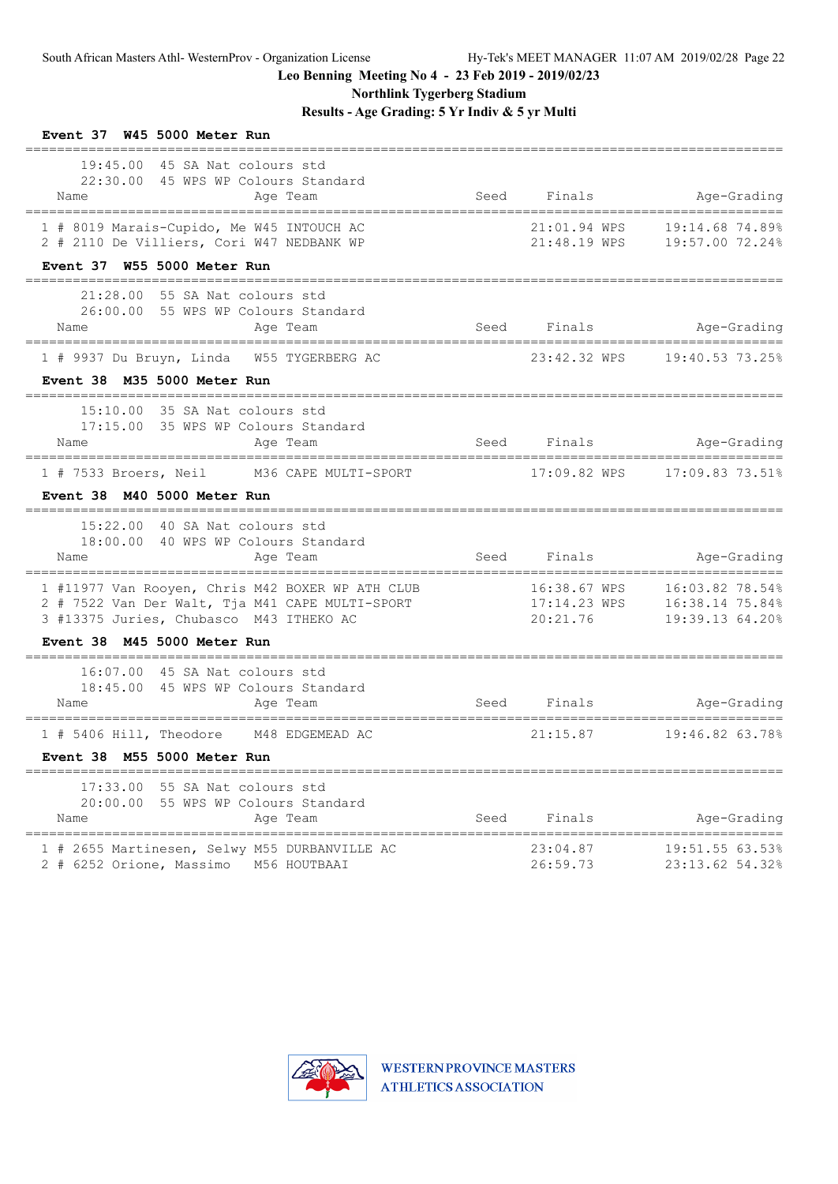**Northlink Tygerberg Stadium**

| Event 37 W45 5000 Meter Run                                                                                                                                                 |      |                                          |                                              |
|-----------------------------------------------------------------------------------------------------------------------------------------------------------------------------|------|------------------------------------------|----------------------------------------------|
| 19:45.00 45 SA Nat colours std<br>22:30.00 45 WPS WP Colours Standard<br>Age Team<br>Name                                                                                   | Seed | Finals                                   | Age-Grading                                  |
| 1 # 8019 Marais-Cupido, Me W45 INTOUCH AC<br>2 # 2110 De Villiers, Cori W47 NEDBANK WP<br>Event 37 W55 5000 Meter Run                                                       |      | 21:01.94 WPS<br>21:48.19 WPS             | 19:14.68 74.89%<br>19:57.00 72.24%           |
| $21:28.00$ 55 SA Nat colours std<br>26:00.00 55 WPS WP Colours Standard<br>Age Team<br>Name                                                                                 |      | Seed Finals                              | Age-Grading                                  |
| 1 # 9937 Du Bruyn, Linda W55 TYGERBERG AC<br>Event 38 M35 5000 Meter Run                                                                                                    |      | 23:42.32 WPS                             | 19:40.53 73.25%                              |
| 15:10.00 35 SA Nat colours std<br>17:15.00 35 WPS WP Colours Standard<br>Age Team<br>Name                                                                                   |      | Seed Finals                              | Age-Grading<br>============================= |
| 1 # 7533 Broers, Neil M36 CAPE MULTI-SPORT<br>Event 38 M40 5000 Meter Run                                                                                                   |      |                                          |                                              |
| 15:22.00 40 SA Nat colours std<br>18:00.00 40 WPS WP Colours Standard<br>Age Team<br>Name                                                                                   |      | Seed Finals and Seed                     | Age-Grading                                  |
| 1 #11977 Van Rooyen, Chris M42 BOXER WP ATH CLUB 16:38.67 WPS 16:03.82 78.54%<br>2 # 7522 Van Der Walt, Tja M41 CAPE MULTI-SPORT<br>3 #13375 Juries, Chubasco M43 ITHEKO AC |      | 20:21.76                                 | 19:39.13 64.20%                              |
| Event 38 M45 5000 Meter Run                                                                                                                                                 |      |                                          |                                              |
| 16:07.00 45 SA Nat colours std<br>18:45.00 45 WPS WP Colours Standard<br>Name<br>Age Team                                                                                   | Seed | Finals<br>;============================= | Age-Grading                                  |
| 1 # 5406 Hill, Theodore M48 EDGEMEAD AC<br>Event 38 M55 5000 Meter Run                                                                                                      |      | 21:15.87                                 | 19:46.82 63.78%                              |
| $17:33.00$ 55 SA Nat colours std<br>20:00.00 55 WPS WP Colours Standard<br>Age Team<br>Name                                                                                 | Seed | Finals                                   | Age-Grading                                  |
| 1 # 2655 Martinesen, Selwy M55 DURBANVILLE AC<br>2 # 6252 Orione, Massimo<br>M56 HOUTBAAI                                                                                   |      | 23:04.87<br>26:59.73                     | 19:51.55 63.53%<br>23:13.62 54.32%           |

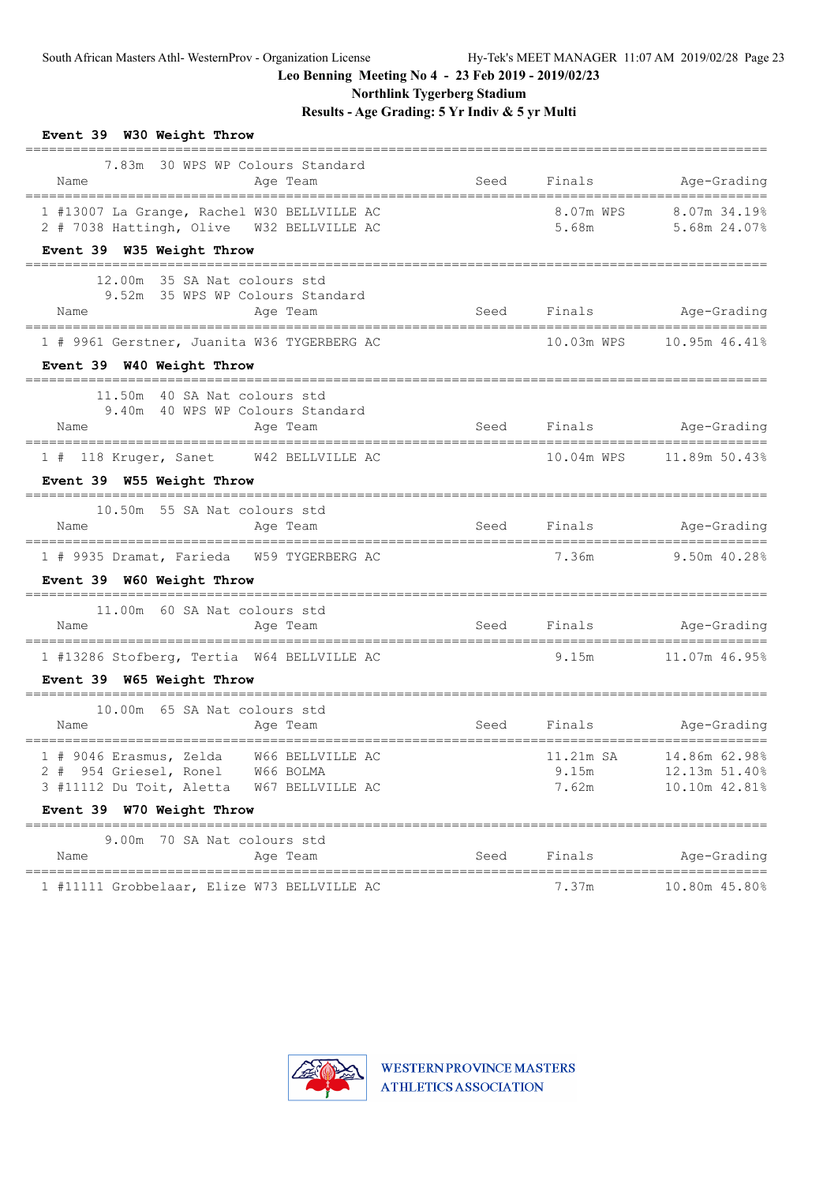**Northlink Tygerberg Stadium**

| Event 39 W30 Weight Throw<br>===========================<br>============                                                  |      |                    |                                                           |
|---------------------------------------------------------------------------------------------------------------------------|------|--------------------|-----------------------------------------------------------|
| 7.83m 30 WPS WP Colours Standard<br>Name<br>Age Team                                                                      | Seed | Finals             | Age-Grading                                               |
| 1 #13007 La Grange, Rachel W30 BELLVILLE AC<br>2 # 7038 Hattingh, Olive W32 BELLVILLE AC                                  |      | 8.07m WPS<br>5.68m | 8.07m 34.19%<br>5.68m 24.07%                              |
| Event 39 W35 Weight Throw                                                                                                 |      |                    |                                                           |
| 12.00m 35 SA Nat colours std<br>9.52m 35 WPS WP Colours Standard<br>Name<br>Age Team                                      | Seed |                    | Finals Age-Grading                                        |
| 1 # 9961 Gerstner, Juanita W36 TYGERBERG AC                                                                               |      |                    | 10.03m WPS    10.95m    46.41%                            |
| Event 39 W40 Weight Throw                                                                                                 |      |                    |                                                           |
| 11.50m 40 SA Nat colours std<br>9.40m 40 WPS WP Colours Standard                                                          |      |                    |                                                           |
| Age Team<br>Name                                                                                                          |      |                    | Seed Finals Age-Grading                                   |
| 1 # 118 Kruger, Sanet W42 BELLVILLE AC                                                                                    |      |                    | 10.04m WPS    11.89m    50.43%                            |
| Event 39 W55 Weight Throw                                                                                                 |      |                    |                                                           |
| 10.50m 55 SA Nat colours std<br>Name<br>Age Team                                                                          | Seed | Finals             | Age-Grading                                               |
| 1 # 9935 Dramat, Farieda W59 TYGERBERG AC<br>Event 39 W60 Weight Throw                                                    |      | 7.36m              | 9.50m 40.28%                                              |
| 11.00m 60 SA Nat colours std<br>Name<br>Age Team                                                                          |      |                    | Seed Finals Age-Grading                                   |
| 1 #13286 Stofberg, Tertia W64 BELLVILLE AC                                                                                |      | 9.15m              | 11.07m 46.95%                                             |
| Event 39 W65 Weight Throw                                                                                                 |      |                    |                                                           |
| 10.00m 65 SA Nat colours std<br>Name<br>Age Team                                                                          | Seed |                    | Finals Age-Grading                                        |
| 1 # 9046 Erasmus, Zelda W66 BELLVILLE AC<br>2 # 954 Griesel, Ronel W66 BOLMA<br>3 #11112 Du Toit, Aletta W67 BELLVILLE AC |      | 9.15m<br>7.62m     | 11.21m SA 14.86m 62.98%<br>12.13m 51.40%<br>10.10m 42.81% |
| Event 39 W70 Weight Throw                                                                                                 |      |                    |                                                           |
| 9.00m 70 SA Nat colours std<br>Name<br>Age Team                                                                           | Seed | Finals             | Age-Grading                                               |
| 1 #11111 Grobbelaar, Elize W73 BELLVILLE AC                                                                               |      | 7.37m              | =====================<br>10.80m 45.80%                    |